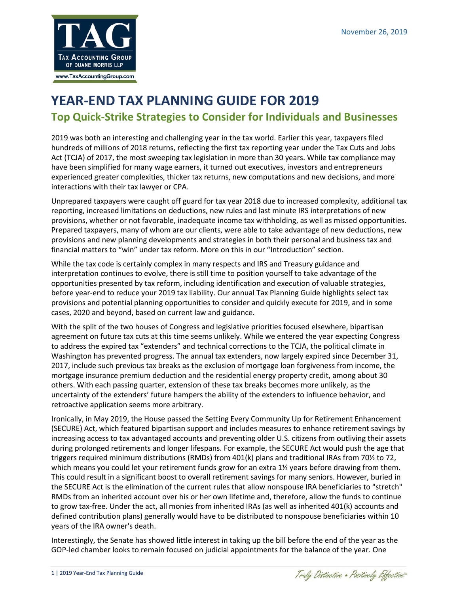

# **YEAR-END TAX PLANNING GUIDE FOR 2019 Top Quick-Strike Strategies to Consider for Individuals and Businesses**

2019 was both an interesting and challenging year in the tax world. Earlier this year, taxpayers filed hundreds of millions of 2018 returns, reflecting the first tax reporting year under the Tax Cuts and Jobs Act (TCJA) of 2017, the most sweeping tax legislation in more than 30 years. While tax compliance may have been simplified for many wage earners, it turned out executives, investors and entrepreneurs experienced greater complexities, thicker tax returns, new computations and new decisions, and more interactions with their tax lawyer or CPA.

Unprepared taxpayers were caught off guard for tax year 2018 due to increased complexity, additional tax reporting, increased limitations on deductions, new rules and last minute IRS interpretations of new provisions, whether or not favorable, inadequate income tax withholding, as well as missed opportunities. Prepared taxpayers, many of whom are our clients, were able to take advantage of new deductions, new provisions and new planning developments and strategies in both their personal and business tax and financial matters to "win" under tax reform. More on this in our "Introduction" section.

While the tax code is certainly complex in many respects and IRS and Treasury guidance and interpretation continues to evolve, there is still time to position yourself to take advantage of the opportunities presented by tax reform, including identification and execution of valuable strategies, before year-end to reduce your 2019 tax liability. Our annual Tax Planning Guide highlights select tax provisions and potential planning opportunities to consider and quickly execute for 2019, and in some cases, 2020 and beyond, based on current law and guidance.

With the split of the two houses of Congress and legislative priorities focused elsewhere, bipartisan agreement on future tax cuts at this time seems unlikely. While we entered the year expecting Congress to address the expired tax "extenders" and technical corrections to the TCJA, the political climate in Washington has prevented progress. The annual tax extenders, now largely expired since December 31, 2017, include such previous tax breaks as the exclusion of mortgage loan forgiveness from income, the mortgage insurance premium deduction and the residential energy property credit, among about 30 others. With each passing quarter, extension of these tax breaks becomes more unlikely, as the uncertainty of the extenders' future hampers the ability of the extenders to influence behavior, and retroactive application seems more arbitrary.

Ironically, in May 2019, the House passed the Setting Every Community Up for Retirement Enhancement (SECURE) Act, which featured bipartisan support and includes measures to enhance retirement savings by increasing access to tax advantaged accounts and preventing older U.S. citizens from outliving their assets during prolonged retirements and longer lifespans. For example, the SECURE Act would push the age that triggers required minimum distributions (RMDs) from 401(k) plans and traditional IRAs from 70½ to 72, which means you could let your retirement funds grow for an extra 1½ years before drawing from them. This could result in a significant boost to overall retirement savings for many seniors. However, buried in the SECURE Act is the elimination of the current rules that allow nonspouse IRA beneficiaries to "stretch" RMDs from an inherited account over his or her own lifetime and, therefore, allow the funds to continue to grow tax-free. Under the act, all monies from inherited IRAs (as well as inherited 401(k) accounts and defined contribution plans) generally would have to be distributed to nonspouse beneficiaries within 10 years of the IRA owner's death.

Interestingly, the Senate has showed little interest in taking up the bill before the end of the year as the GOP-led chamber looks to remain focused on judicial appointments for the balance of the year. One

Traly Distinctive . Positively Effective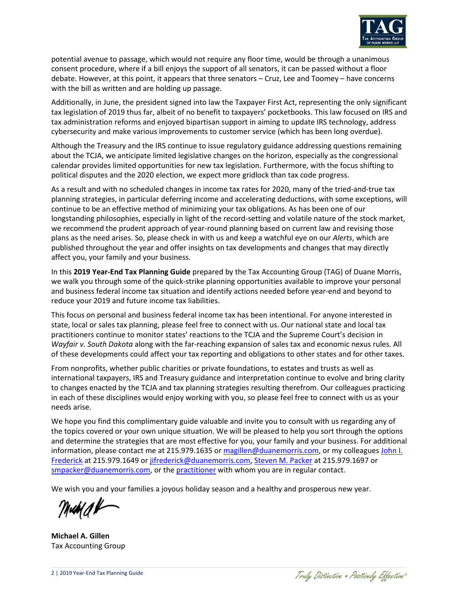

potential avenue to passage, which would not require any floor time, would be through a unanimous consent procedure, where if a bill enjoys the support of all senators, it can be passed without a floor debate. However, at this point, it appears that three senators – Cruz, Lee and Toomey – have concerns with the bill as written and are holding up passage.

Additionally, in June, the president signed into law the Taxpayer First Act, representing the only significant tax legislation of 2019 thus far, albeit of no benefit to taxpayers' pocketbooks. This law focused on IRS and tax administration reforms and enjoyed bipartisan support in aiming to update IRS technology, address cybersecurity and make various improvements to customer service (which has been long overdue).

Although the Treasury and the IRS continue to issue regulatory guidance addressing questions remaining about the TCJA, we anticipate limited legislative changes on the horizon, especially as the congressional calendar provides limited opportunities for new tax legislation. Furthermore, with the focus shifting to political disputes and the 2020 election, we expect more gridlock than tax code progress.

As a result and with no scheduled changes in income tax rates for 2020, many of the tried-and-true tax planning strategies, in particular deferring income and accelerating deductions, with some exceptions, will continue to be an effective method of minimizing your tax obligations. As has been one of our longstanding philosophies, especially in light of the record-setting and volatile nature of the stock market, we recommend the prudent approach of year-round planning based on current law and revising those plans as the need arises. So, please check in with us and keep a watchful eye on our *Alerts*, which are published throughout the year and offer insights on tax developments and changes that may directly affect you, your family and your business.

In this **2019 Year-End Tax Planning Guide** prepared by the Tax Accounting Group (TAG) of Duane Morris, we walk you through some of the quick-strike planning opportunities available to improve your personal and business federal income tax situation and identify actions needed before year-end and beyond to reduce your 2019 and future income tax liabilities.

This focus on personal and business federal income tax has been intentional. For anyone interested in state, local or sales tax planning, please feel free to connect with us. Our national state and local tax practitioners continue to monitor states' reactions to the TCJA and the Supreme Court's decision in *Wayfair v. South Dakota* along with the far-reaching expansion of sales tax and economic nexus rules. All of these developments could affect your tax reporting and obligations to other states and for other taxes.

From nonprofits, whether public charities or private foundations, to estates and trusts as well as international taxpayers, IRS and Treasury guidance and interpretation continue to evolve and bring clarity to changes enacted by the TCJA and tax planning strategies resulting therefrom. Our colleagues practicing in each of these disciplines would enjoy working with you, so please feel free to connect with us as your needs arise.

We hope you find this complimentary guide valuable and invite you to consult with us regarding any of the topics covered or your own unique situation. We will be pleased to help you sort through the options and determine the strategies that are most effective for you, your family and your business. For additional information, please contact me at 215.979.1635 or [magillen@duanemorris.com,](mailto:magillen@duanemorris.com) or my colleagues John I. [Frederick](https://www.duanemorris.com/professionals/johnifrederick.html) at 215.979.1649 or [jifrederick@duanemorris.com,](mailto:JIFrederick@duanemorris.com) [Steven M. Packer](https://www.duanemorris.com/professionals/stevenmpackercpa.html) at 215.979.1697 or [smpacker@duanemorris.com,](mailto:smpacker@duanemorris.com) or the [practitioner](https://www.duanemorris.com/site/taxaccounting.html#tab_Profiles) with whom you are in regular contact.

We wish you and your families a joyous holiday season and a healthy and prosperous new year.

Muha¥

**Michael A. Gillen** Tax Accounting Group

Traly Distinctive . Positively Effective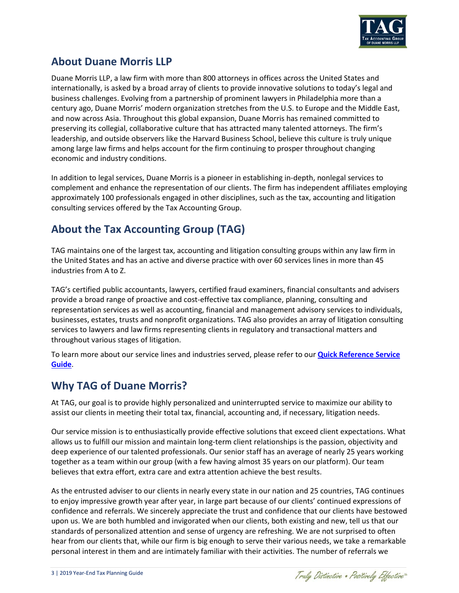

# **About Duane Morris LLP**

Duane Morris LLP, a law firm with more than 800 attorneys in offices across the United States and internationally, is asked by a broad array of clients to provide innovative solutions to today's legal and business challenges. Evolving from a partnership of prominent lawyers in Philadelphia more than a century ago, Duane Morris' modern organization stretches from the U.S. to Europe and the Middle East, and now across Asia. Throughout this global expansion, Duane Morris has remained committed to preserving its collegial, collaborative culture that has attracted many talented attorneys. The firm's leadership, and outside observers like the Harvard Business School, believe this culture is truly unique among large law firms and helps account for the firm continuing to prosper throughout changing economic and industry conditions.

In addition to legal services, Duane Morris is a pioneer in establishing in-depth, nonlegal services to complement and enhance the representation of our clients. The firm has independent affiliates employing approximately 100 professionals engaged in other disciplines, such as the tax, accounting and litigation consulting services offered by the Tax Accounting Group.

# **About the Tax Accounting Group (TAG)**

TAG maintains one of the largest tax, accounting and litigation consulting groups within any law firm in the United States and has an active and diverse practice with over 60 services lines in more than 45 industries from A to Z.

TAG's certified public accountants, lawyers, certified fraud examiners, financial consultants and advisers provide a broad range of proactive and cost-effective tax compliance, planning, consulting and representation services as well as accounting, financial and management advisory services to individuals, businesses, estates, trusts and nonprofit organizations. TAG also provides an array of litigation consulting services to lawyers and law firms representing clients in regulatory and transactional matters and throughout various stages of litigation.

To learn more about our service lines and industries served, please refer to our **[Quick Reference Service](https://www.duanemorris.com/site/static/TAG_Sampling_of_Services_Guide.pdf)  [Guide](https://www.duanemorris.com/site/static/TAG_Sampling_of_Services_Guide.pdf)**.

# **Why TAG of Duane Morris?**

At TAG, our goal is to provide highly personalized and uninterrupted service to maximize our ability to assist our clients in meeting their total tax, financial, accounting and, if necessary, litigation needs.

Our service mission is to enthusiastically provide effective solutions that exceed client expectations. What allows us to fulfill our mission and maintain long-term client relationships is the passion, objectivity and deep experience of our talented professionals. Our senior staff has an average of nearly 25 years working together as a team within our group (with a few having almost 35 years on our platform). Our team believes that extra effort, extra care and extra attention achieve the best results.

As the entrusted adviser to our clients in nearly every state in our nation and 25 countries, TAG continues to enjoy impressive growth year after year, in large part because of our clients' continued expressions of confidence and referrals. We sincerely appreciate the trust and confidence that our clients have bestowed upon us. We are both humbled and invigorated when our clients, both existing and new, tell us that our standards of personalized attention and sense of urgency are refreshing. We are not surprised to often hear from our clients that, while our firm is big enough to serve their various needs, we take a remarkable personal interest in them and are intimately familiar with their activities. The number of referrals we

Traly Distinctive . Positively Effective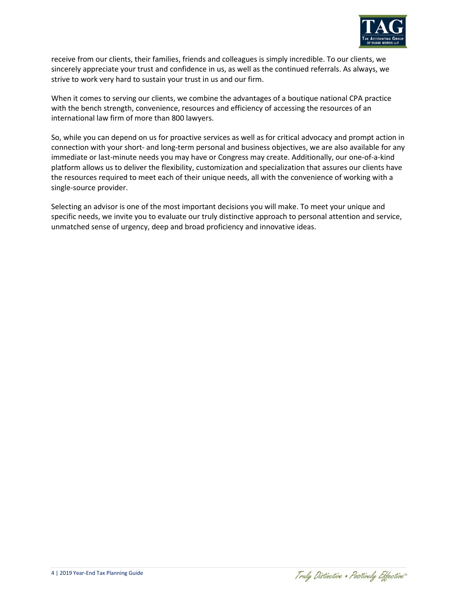

receive from our clients, their families, friends and colleagues is simply incredible. To our clients, we sincerely appreciate your trust and confidence in us, as well as the continued referrals. As always, we strive to work very hard to sustain your trust in us and our firm.

When it comes to serving our clients, we combine the advantages of a boutique national CPA practice with the bench strength, convenience, resources and efficiency of accessing the resources of an international law firm of more than 800 lawyers.

So, while you can depend on us for proactive services as well as for critical advocacy and prompt action in connection with your short- and long-term personal and business objectives, we are also available for any immediate or last-minute needs you may have or Congress may create. Additionally, our one-of-a-kind platform allows us to deliver the flexibility, customization and specialization that assures our clients have the resources required to meet each of their unique needs, all with the convenience of working with a single-source provider.

Selecting an advisor is one of the most important decisions you will make. To meet your unique and specific needs, we invite you to evaluate our truly distinctive approach to personal attention and service, unmatched sense of urgency, deep and broad proficiency and innovative ideas.

Traly Distinctive . Positively Effective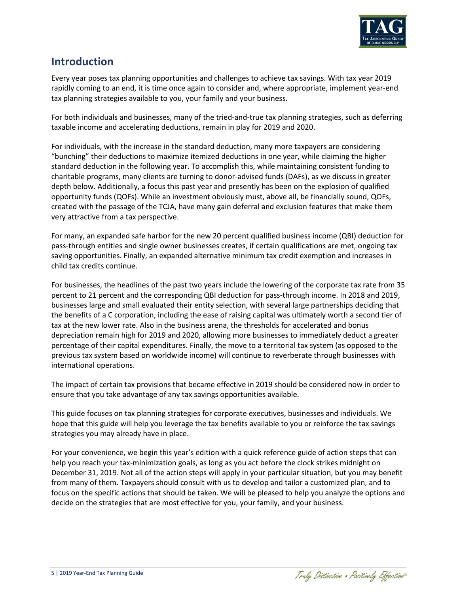

# **Introduction**

Every year poses tax planning opportunities and challenges to achieve tax savings. With tax year 2019 rapidly coming to an end, it is time once again to consider and, where appropriate, implement year-end tax planning strategies available to you, your family and your business.

For both individuals and businesses, many of the tried-and-true tax planning strategies, such as deferring taxable income and accelerating deductions, remain in play for 2019 and 2020.

For individuals, with the increase in the standard deduction, many more taxpayers are considering "bunching" their deductions to maximize itemized deductions in one year, while claiming the higher standard deduction in the following year. To accomplish this, while maintaining consistent funding to charitable programs, many clients are turning to donor-advised funds (DAFs), as we discuss in greater depth below. Additionally, a focus this past year and presently has been on the explosion of qualified opportunity funds (QOFs). While an investment obviously must, above all, be financially sound, QOFs, created with the passage of the TCJA, have many gain deferral and exclusion features that make them very attractive from a tax perspective.

For many, an expanded safe harbor for the new 20 percent qualified business income (QBI) deduction for pass-through entities and single owner businesses creates, if certain qualifications are met, ongoing tax saving opportunities. Finally, an expanded alternative minimum tax credit exemption and increases in child tax credits continue.

For businesses, the headlines of the past two years include the lowering of the corporate tax rate from 35 percent to 21 percent and the corresponding QBI deduction for pass-through income. In 2018 and 2019, businesses large and small evaluated their entity selection, with several large partnerships deciding that the benefits of a C corporation, including the ease of raising capital was ultimately worth a second tier of tax at the new lower rate. Also in the business arena, the thresholds for accelerated and bonus depreciation remain high for 2019 and 2020, allowing more businesses to immediately deduct a greater percentage of their capital expenditures. Finally, the move to a territorial tax system (as opposed to the previous tax system based on worldwide income) will continue to reverberate through businesses with international operations.

The impact of certain tax provisions that became effective in 2019 should be considered now in order to ensure that you take advantage of any tax savings opportunities available.

This guide focuses on tax planning strategies for corporate executives, businesses and individuals. We hope that this guide will help you leverage the tax benefits available to you or reinforce the tax savings strategies you may already have in place.

For your convenience, we begin this year's edition with a quick reference guide of action steps that can help you reach your tax-minimization goals, as long as you act before the clock strikes midnight on December 31, 2019. Not all of the action steps will apply in your particular situation, but you may benefit from many of them. Taxpayers should consult with us to develop and tailor a customized plan, and to focus on the specific actions that should be taken. We will be pleased to help you analyze the options and decide on the strategies that are most effective for you, your family, and your business.

Traly Distinctive . Positively Effective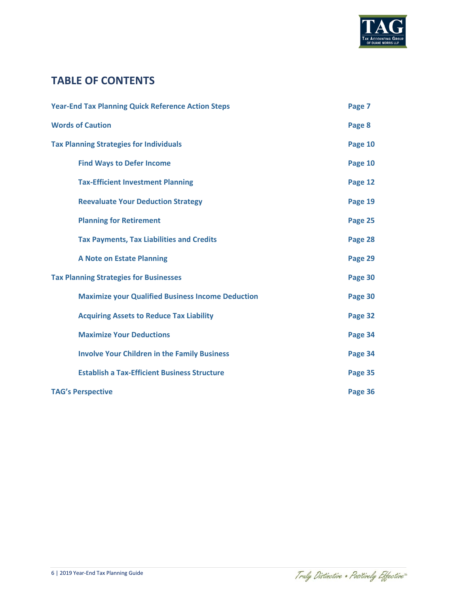

# **TABLE OF CONTENTS**

| <b>Year-End Tax Planning Quick Reference Action Steps</b> |         |  |
|-----------------------------------------------------------|---------|--|
| <b>Words of Caution</b>                                   | Page 8  |  |
| <b>Tax Planning Strategies for Individuals</b>            | Page 10 |  |
| <b>Find Ways to Defer Income</b>                          | Page 10 |  |
| <b>Tax-Efficient Investment Planning</b>                  | Page 12 |  |
| <b>Reevaluate Your Deduction Strategy</b>                 | Page 19 |  |
| <b>Planning for Retirement</b>                            | Page 25 |  |
| <b>Tax Payments, Tax Liabilities and Credits</b>          | Page 28 |  |
| <b>A Note on Estate Planning</b>                          | Page 29 |  |
| <b>Tax Planning Strategies for Businesses</b>             | Page 30 |  |
| <b>Maximize your Qualified Business Income Deduction</b>  | Page 30 |  |
| <b>Acquiring Assets to Reduce Tax Liability</b>           | Page 32 |  |
| <b>Maximize Your Deductions</b>                           | Page 34 |  |
| <b>Involve Your Children in the Family Business</b>       | Page 34 |  |
| <b>Establish a Tax-Efficient Business Structure</b>       | Page 35 |  |
| <b>TAG's Perspective</b>                                  | Page 36 |  |

Traly Distinctive . Positively Effective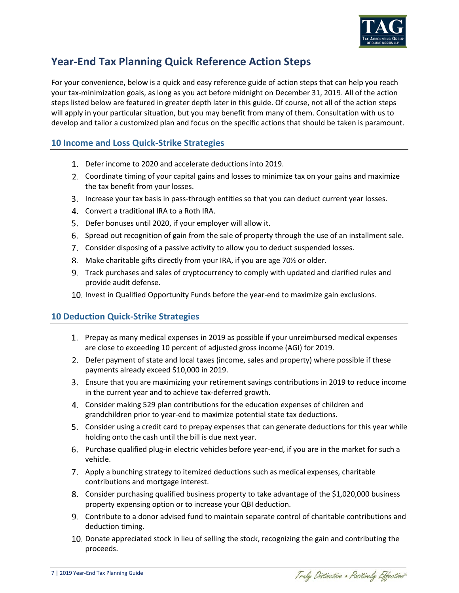

# **Year-End Tax Planning Quick Reference Action Steps**

For your convenience, below is a quick and easy reference guide of action steps that can help you reach your tax-minimization goals, as long as you act before midnight on December 31, 2019. All of the action steps listed below are featured in greater depth later in this guide. Of course, not all of the action steps will apply in your particular situation, but you may benefit from many of them. Consultation with us to develop and tailor a customized plan and focus on the specific actions that should be taken is paramount.

# **10 Income and Loss Quick-Strike Strategies**

- Defer income to 2020 and accelerate deductions into 2019.
- Coordinate timing of your capital gains and losses to minimize tax on your gains and maximize the tax benefit from your losses.
- Increase your tax basis in pass-through entities so that you can deduct current year losses.
- Convert a traditional IRA to a Roth IRA.
- 5. Defer bonuses until 2020, if your employer will allow it.
- Spread out recognition of gain from the sale of property through the use of an installment sale.
- Consider disposing of a passive activity to allow you to deduct suspended losses.
- Make charitable gifts directly from your IRA, if you are age 70½ or older.
- Track purchases and sales of cryptocurrency to comply with updated and clarified rules and provide audit defense.
- 10. Invest in Qualified Opportunity Funds before the year-end to maximize gain exclusions.

# **10 Deduction Quick-Strike Strategies**

- Prepay as many medical expenses in 2019 as possible if your unreimbursed medical expenses are close to exceeding 10 percent of adjusted gross income (AGI) for 2019.
- Defer payment of state and local taxes (income, sales and property) where possible if these payments already exceed \$10,000 in 2019.
- Ensure that you are maximizing your retirement savings contributions in 2019 to reduce income in the current year and to achieve tax-deferred growth.
- Consider making 529 plan contributions for the education expenses of children and grandchildren prior to year-end to maximize potential state tax deductions.
- Consider using a credit card to prepay expenses that can generate deductions for this year while holding onto the cash until the bill is due next year.
- Purchase qualified plug-in electric vehicles before year-end, if you are in the market for such a vehicle.
- 7. Apply a bunching strategy to itemized deductions such as medical expenses, charitable contributions and mortgage interest.
- Consider purchasing qualified business property to take advantage of the \$1,020,000 business property expensing option or to increase your QBI deduction.
- Contribute to a donor advised fund to maintain separate control of charitable contributions and deduction timing.
- 10. Donate appreciated stock in lieu of selling the stock, recognizing the gain and contributing the proceeds.

Traly Distinctive . Positively Effective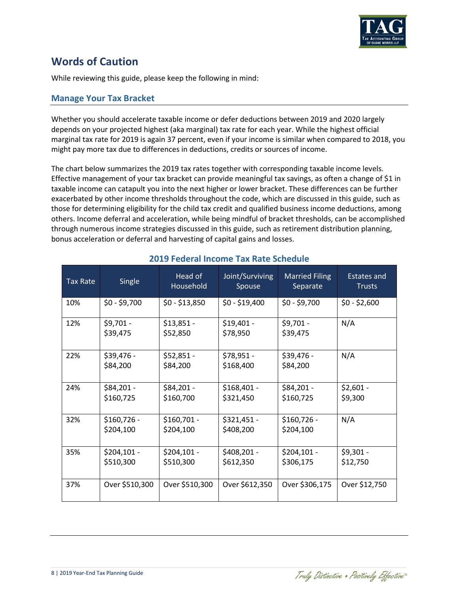

# **Words of Caution**

While reviewing this guide, please keep the following in mind:

## **Manage Your Tax Bracket**

Whether you should accelerate taxable income or defer deductions between 2019 and 2020 largely depends on your projected highest (aka marginal) tax rate for each year. While the highest official marginal tax rate for 2019 is again 37 percent, even if your income is similar when compared to 2018, you might pay more tax due to differences in deductions, credits or sources of income.

The chart below summarizes the 2019 tax rates together with corresponding taxable income levels. Effective management of your tax bracket can provide meaningful tax savings, as often a change of \$1 in taxable income can catapult you into the next higher or lower bracket. These differences can be further exacerbated by other income thresholds throughout the code, which are discussed in this guide, such as those for determining eligibility for the child tax credit and qualified business income deductions, among others. Income deferral and acceleration, while being mindful of bracket thresholds, can be accomplished through numerous income strategies discussed in this guide, such as retirement distribution planning, bonus acceleration or deferral and harvesting of capital gains and losses.

| <b>Tax Rate</b> | Single                    | Head of<br>Household      | Joint/Surviving<br>Spouse | <b>Married Filing</b><br>Separate | Estates and<br><b>Trusts</b> |
|-----------------|---------------------------|---------------------------|---------------------------|-----------------------------------|------------------------------|
| 10%             | $$0 - $9,700$             | $$0 - $13,850$            | $$0 - $19,400$            | $$0 - $9,700$                     | $$0 - $2,600$                |
| 12%             | $$9,701 -$<br>\$39,475    | $$13,851 -$<br>\$52,850   | $$19,401 -$<br>\$78,950   | $$9,701 -$<br>\$39,475            | N/A                          |
| 22%             | \$39,476 -<br>\$84,200    | $$52,851 -$<br>\$84,200   | \$78,951 -<br>\$168,400   | \$39,476 -<br>\$84,200            | N/A                          |
| 24%             | \$84,201 -<br>\$160,725   | $$84,201 -$<br>\$160,700  | $$168,401 -$<br>\$321,450 | \$84,201 -<br>\$160,725           | $$2,601 -$<br>\$9,300        |
| 32%             | $$160,726 -$<br>\$204,100 | $$160,701 -$<br>\$204,100 | $$321,451 -$<br>\$408,200 | $$160,726 -$<br>\$204,100         | N/A                          |
| 35%             | $$204,101 -$<br>\$510,300 | $$204,101 -$<br>\$510,300 | \$408,201 -<br>\$612,350  | $$204,101 -$<br>\$306,175         | $$9,301 -$<br>\$12,750       |
| 37%             | Over \$510,300            | Over \$510,300            | Over \$612,350            | Over \$306,175                    | Over \$12,750                |

# **2019 Federal Income Tax Rate Schedule**

Traly Distinctive . Positively Effective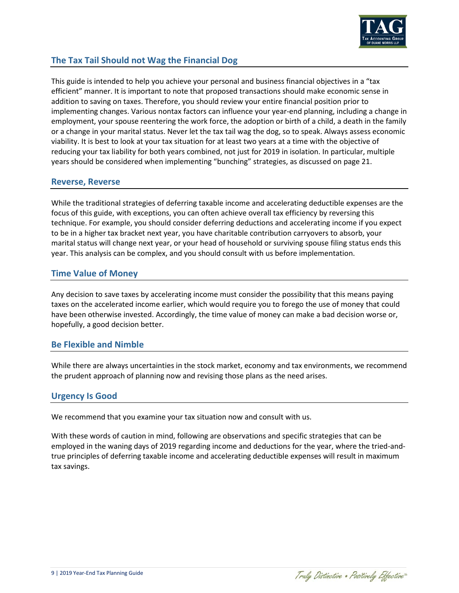

# **The Tax Tail Should not Wag the Financial Dog**

This guide is intended to help you achieve your personal and business financial objectives in a "tax efficient" manner. It is important to note that proposed transactions should make economic sense in addition to saving on taxes. Therefore, you should review your entire financial position prior to implementing changes. Various nontax factors can influence your year-end planning, including a change in employment, your spouse reentering the work force, the adoption or birth of a child, a death in the family or a change in your marital status. Never let the tax tail wag the dog, so to speak. Always assess economic viability. It is best to look at your tax situation for at least two years at a time with the objective of reducing your tax liability for both years combined, not just for 2019 in isolation. In particular, multiple years should be considered when implementing "bunching" strategies, as discussed on page 21.

# **Reverse, Reverse**

While the traditional strategies of deferring taxable income and accelerating deductible expenses are the focus of this guide, with exceptions, you can often achieve overall tax efficiency by reversing this technique. For example, you should consider deferring deductions and accelerating income if you expect to be in a higher tax bracket next year, you have charitable contribution carryovers to absorb, your marital status will change next year, or your head of household or surviving spouse filing status ends this year. This analysis can be complex, and you should consult with us before implementation.

# **Time Value of Money**

Any decision to save taxes by accelerating income must consider the possibility that this means paying taxes on the accelerated income earlier, which would require you to forego the use of money that could have been otherwise invested. Accordingly, the time value of money can make a bad decision worse or, hopefully, a good decision better.

# **Be Flexible and Nimble**

While there are always uncertainties in the stock market, economy and tax environments, we recommend the prudent approach of planning now and revising those plans as the need arises.

# **Urgency Is Good**

We recommend that you examine your tax situation now and consult with us.

With these words of caution in mind, following are observations and specific strategies that can be employed in the waning days of 2019 regarding income and deductions for the year, where the tried-andtrue principles of deferring taxable income and accelerating deductible expenses will result in maximum tax savings.

Traly Distinctive . Positively Effective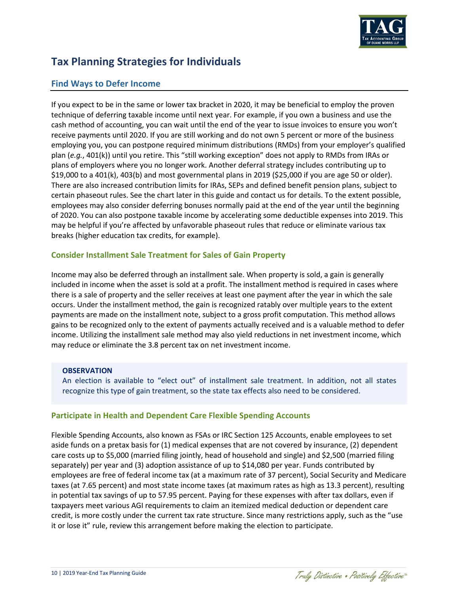

# **Tax Planning Strategies for Individuals**

# **Find Ways to Defer Income**

If you expect to be in the same or lower tax bracket in 2020, it may be beneficial to employ the proven technique of deferring taxable income until next year. For example, if you own a business and use the cash method of accounting, you can wait until the end of the year to issue invoices to ensure you won't receive payments until 2020. If you are still working and do not own 5 percent or more of the business employing you, you can postpone required minimum distributions (RMDs) from your employer's qualified plan (*e.g.*, 401(k)) until you retire. This "still working exception" does not apply to RMDs from IRAs or plans of employers where you no longer work. Another deferral strategy includes contributing up to \$19,000 to a 401(k), 403(b) and most governmental plans in 2019 (\$25,000 if you are age 50 or older). There are also increased contribution limits for IRAs, SEPs and defined benefit pension plans, subject to certain phaseout rules. See the chart later in this guide and contact us for details. To the extent possible, employees may also consider deferring bonuses normally paid at the end of the year until the beginning of 2020. You can also postpone taxable income by accelerating some deductible expenses into 2019. This may be helpful if you're affected by unfavorable phaseout rules that reduce or eliminate various tax breaks (higher education tax credits, for example).

# **Consider Installment Sale Treatment for Sales of Gain Property**

Income may also be deferred through an installment sale. When property is sold, a gain is generally included in income when the asset is sold at a profit. The installment method is required in cases where there is a sale of property and the seller receives at least one payment after the year in which the sale occurs. Under the installment method, the gain is recognized ratably over multiple years to the extent payments are made on the installment note, subject to a gross profit computation. This method allows gains to be recognized only to the extent of payments actually received and is a valuable method to defer income. Utilizing the installment sale method may also yield reductions in net investment income, which may reduce or eliminate the 3.8 percent tax on net investment income.

### **OBSERVATION**

An election is available to "elect out" of installment sale treatment. In addition, not all states recognize this type of gain treatment, so the state tax effects also need to be considered.

# **Participate in Health and Dependent Care Flexible Spending Accounts**

Flexible Spending Accounts, also known as FSAs or IRC Section 125 Accounts, enable employees to set aside funds on a pretax basis for (1) medical expenses that are not covered by insurance, (2) dependent care costs up to \$5,000 (married filing jointly, head of household and single) and \$2,500 (married filing separately) per year and (3) adoption assistance of up to \$14,080 per year. Funds contributed by employees are free of federal income tax (at a maximum rate of 37 percent), Social Security and Medicare taxes (at 7.65 percent) and most state income taxes (at maximum rates as high as 13.3 percent), resulting in potential tax savings of up to 57.95 percent. Paying for these expenses with after tax dollars, even if taxpayers meet various AGI requirements to claim an itemized medical deduction or dependent care credit, is more costly under the current tax rate structure. Since many restrictions apply, such as the "use it or lose it" rule, review this arrangement before making the election to participate.

Traly Distinctive . Positively Effective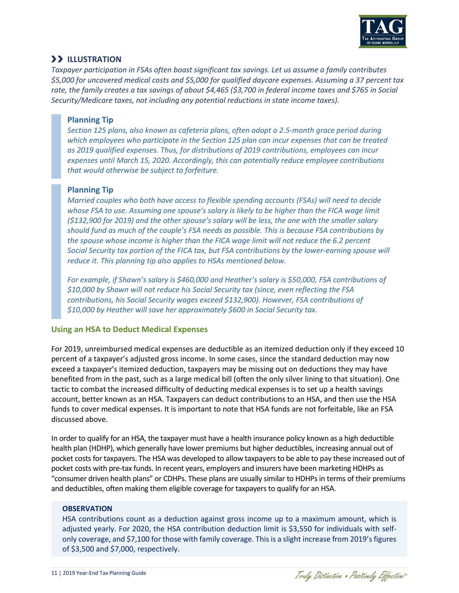

# **ILLUSTRATION**

*Taxpayer participation in FSAs often boast significant tax savings. Let us assume a family contributes \$5,000 for uncovered medical costs and \$5,000 for qualified daycare expenses. Assuming a 37 percent tax rate, the family creates a tax savings of about \$4,465 (\$3,700 in federal income taxes and \$765 in Social Security/Medicare taxes, not including any potential reductions in state income taxes).*

## **Planning Tip**

*Section 125 plans, also known as cafeteria plans, often adopt a 2.5-month grace period during which employees who participate in the Section 125 plan can incur expenses that can be treated as 2019 qualified expenses. Thus, for distributions of 2019 contributions, employees can incur expenses until March 15, 2020. Accordingly, this can potentially reduce employee contributions that would otherwise be subject to forfeiture.* 

## **Planning Tip**

*Married couples who both have access to flexible spending accounts (FSAs) will need to decide whose FSA to use. Assuming one spouse's salary is likely to be higher than the FICA wage limit (\$132,900 for 2019) and the other spouse's salary will be less, the one with the smaller salary should fund as much of the couple's FSA needs as possible. This is because FSA contributions by the spouse whose income is higher than the FICA wage limit will not reduce the 6.2 percent Social Security tax portion of the FICA tax, but FSA contributions by the lower-earning spouse will reduce it. This planning tip also applies to HSAs mentioned below.*

*For example, if Shawn's salary is \$460,000 and Heather's salary is \$50,000, FSA contributions of \$10,000 by Shawn will not reduce his Social Security tax (since, even reflecting the FSA contributions, his Social Security wages exceed \$132,900). However, FSA contributions of \$10,000 by Heather will save her approximately \$600 in Social Security tax.* 

### **Using an HSA to Deduct Medical Expenses**

For 2019, unreimbursed medical expenses are deductible as an itemized deduction only if they exceed 10 percent of a taxpayer's adjusted gross income. In some cases, since the standard deduction may now exceed a taxpayer's itemized deduction, taxpayers may be missing out on deductions they may have benefited from in the past, such as a large medical bill (often the only silver lining to that situation). One tactic to combat the increased difficulty of deducting medical expenses is to set up a health savings account, better known as an HSA. Taxpayers can deduct contributions to an HSA, and then use the HSA funds to cover medical expenses. It is important to note that HSA funds are not forfeitable, like an FSA discussed above.

In order to qualify for an HSA, the taxpayer must have a health insurance policy known as a high deductible health plan (HDHP), which generally have lower premiums but higher deductibles, increasing annual out of pocket costs for taxpayers. The HSA was developed to allow taxpayers to be able to pay these increased out of pocket costs with pre-tax funds. In recent years, employers and insurers have been marketing HDHPs as "consumer driven health plans" or CDHPs. These plans are usually similar to HDHPs in terms of their premiums and deductibles, often making them eligible coverage for taxpayers to qualify for an HSA.

### **OBSERVATION**

HSA contributions count as a deduction against gross income up to a maximum amount, which is adjusted yearly. For 2020, the HSA contribution deduction limit is \$3,550 for individuals with selfonly coverage, and \$7,100 for those with family coverage. This is a slight increase from 2019's figures of \$3,500 and \$7,000, respectively.

Traly Distinctive . Positively Effective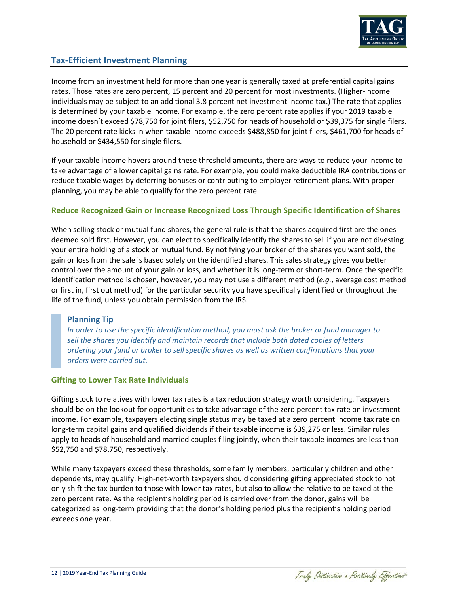

# **Tax-Efficient Investment Planning**

Income from an investment held for more than one year is generally taxed at preferential capital gains rates. Those rates are zero percent, 15 percent and 20 percent for most investments. (Higher-income individuals may be subject to an additional 3.8 percent net investment income tax.) The rate that applies is determined by your taxable income. For example, the zero percent rate applies if your 2019 taxable income doesn't exceed \$78,750 for joint filers, \$52,750 for heads of household or \$39,375 for single filers. The 20 percent rate kicks in when taxable income exceeds \$488,850 for joint filers, \$461,700 for heads of household or \$434,550 for single filers.

If your taxable income hovers around these threshold amounts, there are ways to reduce your income to take advantage of a lower capital gains rate. For example, you could make deductible IRA contributions or reduce taxable wages by deferring bonuses or contributing to employer retirement plans. With proper planning, you may be able to qualify for the zero percent rate.

## **Reduce Recognized Gain or Increase Recognized Loss Through Specific Identification of Shares**

When selling stock or mutual fund shares, the general rule is that the shares acquired first are the ones deemed sold first. However, you can elect to specifically identify the shares to sell if you are not divesting your entire holding of a stock or mutual fund. By notifying your broker of the shares you want sold, the gain or loss from the sale is based solely on the identified shares. This sales strategy gives you better control over the amount of your gain or loss, and whether it is long-term or short-term. Once the specific identification method is chosen, however, you may not use a different method (*e.g.*, average cost method or first in, first out method) for the particular security you have specifically identified or throughout the life of the fund, unless you obtain permission from the IRS.

### **Planning Tip**

*In order to use the specific identification method, you must ask the broker or fund manager to sell the shares you identify and maintain records that include both dated copies of letters ordering your fund or broker to sell specific shares as well as written confirmations that your orders were carried out.*

### **Gifting to Lower Tax Rate Individuals**

Gifting stock to relatives with lower tax rates is a tax reduction strategy worth considering. Taxpayers should be on the lookout for opportunities to take advantage of the zero percent tax rate on investment income. For example, taxpayers electing single status may be taxed at a zero percent income tax rate on long-term capital gains and qualified dividends if their taxable income is \$39,275 or less. Similar rules apply to heads of household and married couples filing jointly, when their taxable incomes are less than \$52,750 and \$78,750, respectively.

While many taxpayers exceed these thresholds, some family members, particularly children and other dependents, may qualify. High-net-worth taxpayers should considering gifting appreciated stock to not only shift the tax burden to those with lower tax rates, but also to allow the relative to be taxed at the zero percent rate. As the recipient's holding period is carried over from the donor, gains will be categorized as long-term providing that the donor's holding period plus the recipient's holding period exceeds one year.

Traly Distinctive . Positively Effective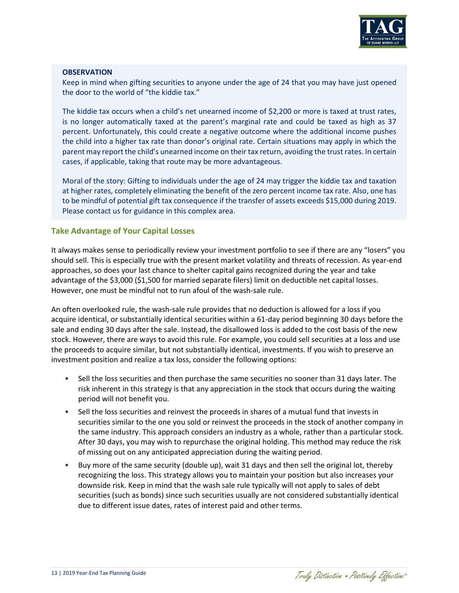

#### **OBSERVATION**

Keep in mind when gifting securities to anyone under the age of 24 that you may have just opened the door to the world of "the kiddie tax."

The kiddie tax occurs when a child's net unearned income of \$2,200 or more is taxed at trust rates, is no longer automatically taxed at the parent's marginal rate and could be taxed as high as 37 percent. Unfortunately, this could create a negative outcome where the additional income pushes the child into a higher tax rate than donor's original rate. Certain situations may apply in which the parent may report the child's unearned income on their tax return, avoiding the trust rates. In certain cases, if applicable, taking that route may be more advantageous.

Moral of the story: Gifting to individuals under the age of 24 may trigger the kiddie tax and taxation at higher rates, completely eliminating the benefit of the zero percent income tax rate. Also, one has to be mindful of potential gift tax consequence if the transfer of assets exceeds \$15,000 during 2019. Please contact us for guidance in this complex area.

## **Take Advantage of Your Capital Losses**

It always makes sense to periodically review your investment portfolio to see if there are any "losers" you should sell. This is especially true with the present market volatility and threats of recession. As year-end approaches, so does your last chance to shelter capital gains recognized during the year and take advantage of the \$3,000 (\$1,500 for married separate filers) limit on deductible net capital losses. However, one must be mindful not to run afoul of the wash-sale rule.

An often overlooked rule, the wash-sale rule provides that no deduction is allowed for a loss if you acquire identical, or substantially identical securities within a 61-day period beginning 30 days before the sale and ending 30 days after the sale. Instead, the disallowed loss is added to the cost basis of the new stock. However, there are ways to avoid this rule. For example, you could sell securities at a loss and use the proceeds to acquire similar, but not substantially identical, investments. If you wish to preserve an investment position and realize a tax loss, consider the following options:

- Sell the loss securities and then purchase the same securities no sooner than 31 days later. The risk inherent in this strategy is that any appreciation in the stock that occurs during the waiting period will not benefit you.
- Sell the loss securities and reinvest the proceeds in shares of a mutual fund that invests in securities similar to the one you sold or reinvest the proceeds in the stock of another company in the same industry. This approach considers an industry as a whole, rather than a particular stock. After 30 days, you may wish to repurchase the original holding. This method may reduce the risk of missing out on any anticipated appreciation during the waiting period.
- Buy more of the same security (double up), wait 31 days and then sell the original lot, thereby recognizing the loss. This strategy allows you to maintain your position but also increases your downside risk. Keep in mind that the wash sale rule typically will not apply to sales of debt securities (such as bonds) since such securities usually are not considered substantially identical due to different issue dates, rates of interest paid and other terms.

Traly Distinctive . Positively Effective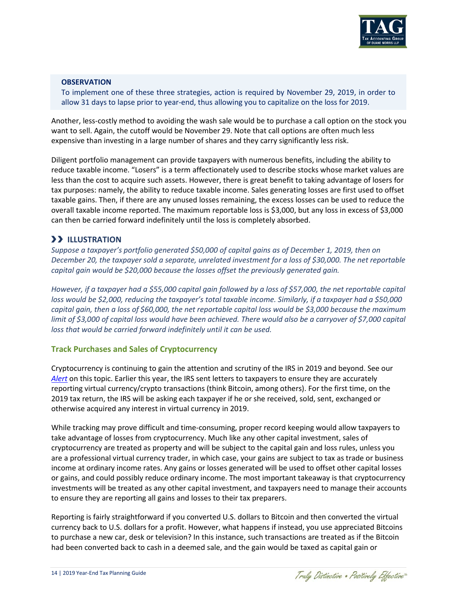

### **OBSERVATION**

To implement one of these three strategies, action is required by November 29, 2019, in order to allow 31 days to lapse prior to year-end, thus allowing you to capitalize on the loss for 2019.

Another, less-costly method to avoiding the wash sale would be to purchase a call option on the stock you want to sell. Again, the cutoff would be November 29. Note that call options are often much less expensive than investing in a large number of shares and they carry significantly less risk.

Diligent portfolio management can provide taxpayers with numerous benefits, including the ability to reduce taxable income. "Losers" is a term affectionately used to describe stocks whose market values are less than the cost to acquire such assets. However, there is great benefit to taking advantage of losers for tax purposes: namely, the ability to reduce taxable income. Sales generating losses are first used to offset taxable gains. Then, if there are any unused losses remaining, the excess losses can be used to reduce the overall taxable income reported. The maximum reportable loss is \$3,000, but any loss in excess of \$3,000 can then be carried forward indefinitely until the loss is completely absorbed.

# **ILLUSTRATION**

*Suppose a taxpayer's portfolio generated \$50,000 of capital gains as of December 1, 2019, then on December 20, the taxpayer sold a separate, unrelated investment for a loss of \$30,000. The net reportable capital gain would be \$20,000 because the losses offset the previously generated gain.*

*However, if a taxpayer had a \$55,000 capital gain followed by a loss of \$57,000, the net reportable capital loss would be \$2,000, reducing the taxpayer's total taxable income. Similarly, if a taxpayer had a \$50,000 capital gain, then a loss of \$60,000, the net reportable capital loss would be \$3,000 because the maximum limit of \$3,000 of capital loss would have been achieved. There would also be a carryover of \$7,000 capital loss that would be carried forward indefinitely until it can be used.*

### **Track Purchases and Sales of Cryptocurrency**

Cryptocurrency is continuing to gain the attention and scrutiny of the IRS in 2019 and beyond. See our *[Alert](https://www.duanemorris.com/alerts/did_you_report_your_virtual_currency_transactions_properly_0919.html)* on this topic. Earlier this year, the IRS sent letters to taxpayers to ensure they are accurately reporting virtual currency/crypto transactions (think Bitcoin, among others). For the first time, on the 2019 tax return, the IRS will be asking each taxpayer if he or she received, sold, sent, exchanged or otherwise acquired any interest in virtual currency in 2019.

While tracking may prove difficult and time-consuming, proper record keeping would allow taxpayers to take advantage of losses from cryptocurrency. Much like any other capital investment, sales of cryptocurrency are treated as property and will be subject to the capital gain and loss rules, unless you are a professional virtual currency trader, in which case, your gains are subject to tax as trade or business income at ordinary income rates. Any gains or losses generated will be used to offset other capital losses or gains, and could possibly reduce ordinary income. The most important takeaway is that cryptocurrency investments will be treated as any other capital investment, and taxpayers need to manage their accounts to ensure they are reporting all gains and losses to their tax preparers.

Reporting is fairly straightforward if you converted U.S. dollars to Bitcoin and then converted the virtual currency back to U.S. dollars for a profit. However, what happens if instead, you use appreciated Bitcoins to purchase a new car, desk or television? In this instance, such transactions are treated as if the Bitcoin had been converted back to cash in a deemed sale, and the gain would be taxed as capital gain or

Traly Distinctive . Positively Effective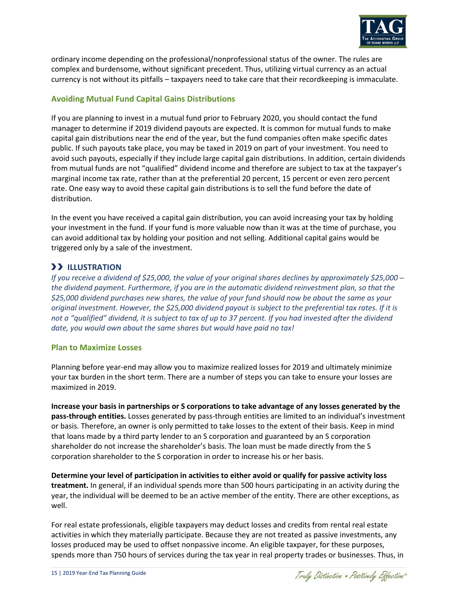

ordinary income depending on the professional/nonprofessional status of the owner. The rules are complex and burdensome, without significant precedent. Thus, utilizing virtual currency as an actual currency is not without its pitfalls – taxpayers need to take care that their recordkeeping is immaculate.

# **Avoiding Mutual Fund Capital Gains Distributions**

If you are planning to invest in a mutual fund prior to February 2020, you should contact the fund manager to determine if 2019 dividend payouts are expected. It is common for mutual funds to make capital gain distributions near the end of the year, but the fund companies often make specific dates public. If such payouts take place, you may be taxed in 2019 on part of your investment. You need to avoid such payouts, especially if they include large capital gain distributions. In addition, certain dividends from mutual funds are not "qualified" dividend income and therefore are subject to tax at the taxpayer's marginal income tax rate, rather than at the preferential 20 percent, 15 percent or even zero percent rate. One easy way to avoid these capital gain distributions is to sell the fund before the date of distribution.

In the event you have received a capital gain distribution, you can avoid increasing your tax by holding your investment in the fund. If your fund is more valuable now than it was at the time of purchase, you can avoid additional tax by holding your position and not selling. Additional capital gains would be triggered only by a sale of the investment.

# **ILLUSTRATION**

*If you receive a dividend of \$25,000, the value of your original shares declines by approximately \$25,000 ─ the dividend payment. Furthermore, if you are in the automatic dividend reinvestment plan, so that the \$25,000 dividend purchases new shares, the value of your fund should now be about the same as your original investment. However, the \$25,000 dividend payout is subject to the preferential tax rates. If it is not a "qualified" dividend, it is subject to tax of up to 37 percent. If you had invested after the dividend date, you would own about the same shares but would have paid no tax!*

### **Plan to Maximize Losses**

Planning before year-end may allow you to maximize realized losses for 2019 and ultimately minimize your tax burden in the short term. There are a number of steps you can take to ensure your losses are maximized in 2019.

**Increase your basis in partnerships or S corporations to take advantage of any losses generated by the pass-through entities.** Losses generated by pass-through entities are limited to an individual's investment or basis. Therefore, an owner is only permitted to take losses to the extent of their basis. Keep in mind that loans made by a third party lender to an S corporation and guaranteed by an S corporation shareholder do not increase the shareholder's basis. The loan must be made directly from the S corporation shareholder to the S corporation in order to increase his or her basis.

**Determine your level of participation in activities to either avoid or qualify for passive activity loss treatment.** In general, if an individual spends more than 500 hours participating in an activity during the year, the individual will be deemed to be an active member of the entity. There are other exceptions, as well.

For real estate professionals, eligible taxpayers may deduct losses and credits from rental real estate activities in which they materially participate. Because they are not treated as passive investments, any losses produced may be used to offset nonpassive income. An eligible taxpayer, for these purposes, spends more than 750 hours of services during the tax year in real property trades or businesses. Thus, in

Traly Distinctive . Positively Effective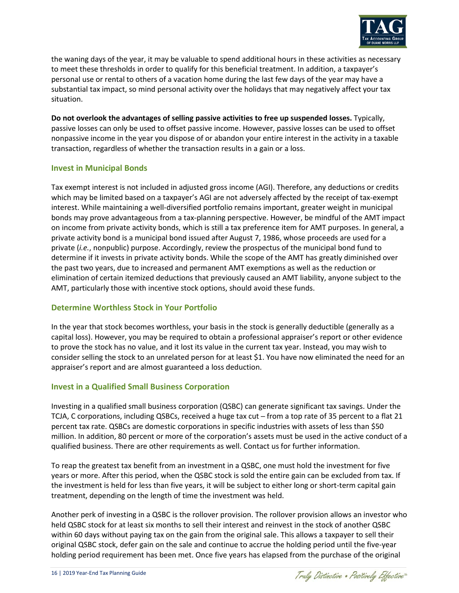

the waning days of the year, it may be valuable to spend additional hours in these activities as necessary to meet these thresholds in order to qualify for this beneficial treatment. In addition, a taxpayer's personal use or rental to others of a vacation home during the last few days of the year may have a substantial tax impact, so mind personal activity over the holidays that may negatively affect your tax situation.

**Do not overlook the advantages of selling passive activities to free up suspended losses.** Typically, passive losses can only be used to offset passive income. However, passive losses can be used to offset nonpassive income in the year you dispose of or abandon your entire interest in the activity in a taxable transaction, regardless of whether the transaction results in a gain or a loss.

## **Invest in Municipal Bonds**

Tax exempt interest is not included in adjusted gross income (AGI). Therefore, any deductions or credits which may be limited based on a taxpayer's AGI are not adversely affected by the receipt of tax-exempt interest. While maintaining a well-diversified portfolio remains important, greater weight in municipal bonds may prove advantageous from a tax-planning perspective. However, be mindful of the AMT impact on income from private activity bonds, which is still a tax preference item for AMT purposes. In general, a private activity bond is a municipal bond issued after August 7, 1986, whose proceeds are used for a private (*i.e.*, nonpublic) purpose. Accordingly, review the prospectus of the municipal bond fund to determine if it invests in private activity bonds. While the scope of the AMT has greatly diminished over the past two years, due to increased and permanent AMT exemptions as well as the reduction or elimination of certain itemized deductions that previously caused an AMT liability, anyone subject to the AMT, particularly those with incentive stock options, should avoid these funds.

# **Determine Worthless Stock in Your Portfolio**

In the year that stock becomes worthless, your basis in the stock is generally deductible (generally as a capital loss). However, you may be required to obtain a professional appraiser's report or other evidence to prove the stock has no value, and it lost its value in the current tax year. Instead, you may wish to consider selling the stock to an unrelated person for at least \$1. You have now eliminated the need for an appraiser's report and are almost guaranteed a loss deduction.

# **Invest in a Qualified Small Business Corporation**

Investing in a qualified small business corporation (QSBC) can generate significant tax savings. Under the TCJA, C corporations, including QSBCs, received a huge tax cut - from a top rate of 35 percent to a flat 21 percent tax rate. QSBCs are domestic corporations in specific industries with assets of less than \$50 million. In addition, 80 percent or more of the corporation's assets must be used in the active conduct of a qualified business. There are other requirements as well. Contact us for further information.

To reap the greatest tax benefit from an investment in a QSBC, one must hold the investment for five years or more. After this period, when the QSBC stock is sold the entire gain can be excluded from tax. If the investment is held for less than five years, it will be subject to either long or short-term capital gain treatment, depending on the length of time the investment was held.

Another perk of investing in a QSBC is the rollover provision. The rollover provision allows an investor who held QSBC stock for at least six months to sell their interest and reinvest in the stock of another QSBC within 60 days without paying tax on the gain from the original sale. This allows a taxpayer to sell their original QSBC stock, defer gain on the sale and continue to accrue the holding period until the five-year holding period requirement has been met. Once five years has elapsed from the purchase of the original

Traly Distinctive . Positively Effective"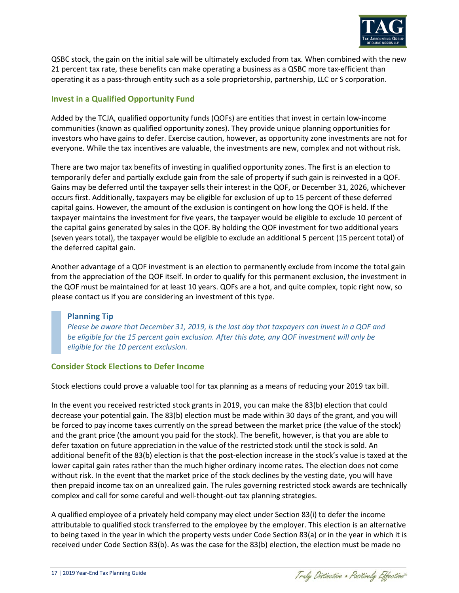

QSBC stock, the gain on the initial sale will be ultimately excluded from tax. When combined with the new 21 percent tax rate, these benefits can make operating a business as a QSBC more tax-efficient than operating it as a pass-through entity such as a sole proprietorship, partnership, LLC or S corporation.

# **Invest in a Qualified Opportunity Fund**

Added by the TCJA, qualified opportunity funds (QOFs) are entities that invest in certain low-income communities (known as qualified opportunity zones). They provide unique planning opportunities for investors who have gains to defer. Exercise caution, however, as opportunity zone investments are not for everyone. While the tax incentives are valuable, the investments are new, complex and not without risk.

There are two major tax benefits of investing in qualified opportunity zones. The first is an election to temporarily defer and partially exclude gain from the sale of property if such gain is reinvested in a QOF. Gains may be deferred until the taxpayer sells their interest in the QOF, or December 31, 2026, whichever occurs first. Additionally, taxpayers may be eligible for exclusion of up to 15 percent of these deferred capital gains. However, the amount of the exclusion is contingent on how long the QOF is held. If the taxpayer maintains the investment for five years, the taxpayer would be eligible to exclude 10 percent of the capital gains generated by sales in the QOF. By holding the QOF investment for two additional years (seven years total), the taxpayer would be eligible to exclude an additional 5 percent (15 percent total) of the deferred capital gain.

Another advantage of a QOF investment is an election to permanently exclude from income the total gain from the appreciation of the QOF itself. In order to qualify for this permanent exclusion, the investment in the QOF must be maintained for at least 10 years. QOFs are a hot, and quite complex, topic right now, so please contact us if you are considering an investment of this type.

# **Planning Tip**

*Please be aware that December 31, 2019, is the last day that taxpayers can invest in a QOF and be eligible for the 15 percent gain exclusion. After this date, any QOF investment will only be eligible for the 10 percent exclusion.*

# **Consider Stock Elections to Defer Income**

Stock elections could prove a valuable tool for tax planning as a means of reducing your 2019 tax bill.

In the event you received restricted stock grants in 2019, you can make the 83(b) election that could decrease your potential gain. The 83(b) election must be made within 30 days of the grant, and you will be forced to pay income taxes currently on the spread between the market price (the value of the stock) and the grant price (the amount you paid for the stock). The benefit, however, is that you are able to defer taxation on future appreciation in the value of the restricted stock until the stock is sold. An additional benefit of the 83(b) election is that the post-election increase in the stock's value is taxed at the lower capital gain rates rather than the much higher ordinary income rates. The election does not come without risk. In the event that the market price of the stock declines by the vesting date, you will have then prepaid income tax on an unrealized gain. The rules governing restricted stock awards are technically complex and call for some careful and well-thought-out tax planning strategies.

A qualified employee of a privately held company may elect under Section 83(i) to defer the income attributable to qualified stock transferred to the employee by the employer. This election is an alternative to being taxed in the year in which the property vests under Code Section 83(a) or in the year in which it is received under Code Section 83(b). As was the case for the 83(b) election, the election must be made no

Traly Distinctive . Positively Effective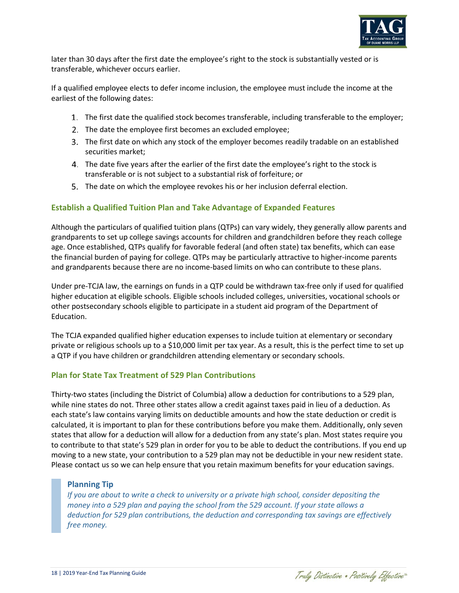

later than 30 days after the first date the employee's right to the stock is substantially vested or is transferable, whichever occurs earlier.

If a qualified employee elects to defer income inclusion, the employee must include the income at the earliest of the following dates:

- The first date the qualified stock becomes transferable, including transferable to the employer;
- 2. The date the employee first becomes an excluded employee;
- The first date on which any stock of the employer becomes readily tradable on an established securities market;
- The date five years after the earlier of the first date the employee's right to the stock is transferable or is not subject to a substantial risk of forfeiture; or
- The date on which the employee revokes his or her inclusion deferral election.

# **Establish a Qualified Tuition Plan and Take Advantage of Expanded Features**

Although the particulars of qualified tuition plans (QTPs) can vary widely, they generally allow parents and grandparents to set up college savings accounts for children and grandchildren before they reach college age. Once established, QTPs qualify for favorable federal (and often state) tax benefits, which can ease the financial burden of paying for college. QTPs may be particularly attractive to higher-income parents and grandparents because there are no income-based limits on who can contribute to these plans.

Under pre-TCJA law, the earnings on funds in a QTP could be withdrawn tax-free only if used for qualified higher education at eligible schools. Eligible schools included colleges, universities, vocational schools or other postsecondary schools eligible to participate in a student aid program of the Department of Education.

The TCJA expanded qualified higher education expenses to include tuition at elementary or secondary private or religious schools up to a \$10,000 limit per tax year. As a result, this is the perfect time to set up a QTP if you have children or grandchildren attending elementary or secondary schools.

# **Plan for State Tax Treatment of 529 Plan Contributions**

Thirty-two states (including the District of Columbia) allow a deduction for contributions to a 529 plan, while nine states do not. Three other states allow a credit against taxes paid in lieu of a deduction. As each state's law contains varying limits on deductible amounts and how the state deduction or credit is calculated, it is important to plan for these contributions before you make them. Additionally, only seven states that allow for a deduction will allow for a deduction from any state's plan. Most states require you to contribute to that state's 529 plan in order for you to be able to deduct the contributions. If you end up moving to a new state, your contribution to a 529 plan may not be deductible in your new resident state. Please contact us so we can help ensure that you retain maximum benefits for your education savings.

# **Planning Tip**

*If you are about to write a check to university or a private high school, consider depositing the money into a 529 plan and paying the school from the 529 account. If your state allows a deduction for 529 plan contributions, the deduction and corresponding tax savings are effectively free money.*

Traly Distinctive . Positively Effective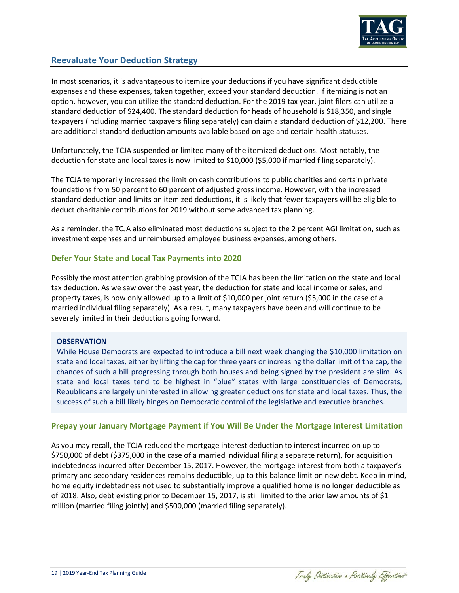

# **Reevaluate Your Deduction Strategy**

In most scenarios, it is advantageous to itemize your deductions if you have significant deductible expenses and these expenses, taken together, exceed your standard deduction. If itemizing is not an option, however, you can utilize the standard deduction. For the 2019 tax year, joint filers can utilize a standard deduction of \$24,400. The standard deduction for heads of household is \$18,350, and single taxpayers (including married taxpayers filing separately) can claim a standard deduction of \$12,200. There are additional standard deduction amounts available based on age and certain health statuses.

Unfortunately, the TCJA suspended or limited many of the itemized deductions. Most notably, the deduction for state and local taxes is now limited to \$10,000 (\$5,000 if married filing separately).

The TCJA temporarily increased the limit on cash contributions to public charities and certain private foundations from 50 percent to 60 percent of adjusted gross income. However, with the increased standard deduction and limits on itemized deductions, it is likely that fewer taxpayers will be eligible to deduct charitable contributions for 2019 without some advanced tax planning.

As a reminder, the TCJA also eliminated most deductions subject to the 2 percent AGI limitation, such as investment expenses and unreimbursed employee business expenses, among others.

### **Defer Your State and Local Tax Payments into 2020**

Possibly the most attention grabbing provision of the TCJA has been the limitation on the state and local tax deduction. As we saw over the past year, the deduction for state and local income or sales, and property taxes, is now only allowed up to a limit of \$10,000 per joint return (\$5,000 in the case of a married individual filing separately). As a result, many taxpayers have been and will continue to be severely limited in their deductions going forward.

#### **OBSERVATION**

While House Democrats are expected to introduce a bill next week changing the \$10,000 limitation on state and local taxes, either by lifting the cap for three years or increasing the dollar limit of the cap, the chances of such a bill progressing through both houses and being signed by the president are slim. As state and local taxes tend to be highest in "blue" states with large constituencies of Democrats, Republicans are largely uninterested in allowing greater deductions for state and local taxes. Thus, the success of such a bill likely hinges on Democratic control of the legislative and executive branches.

### **Prepay your January Mortgage Payment if You Will Be Under the Mortgage Interest Limitation**

As you may recall, the TCJA reduced the mortgage interest deduction to interest incurred on up to \$750,000 of debt (\$375,000 in the case of a married individual filing a separate return), for acquisition indebtedness incurred after December 15, 2017. However, the mortgage interest from both a taxpayer's primary and secondary residences remains deductible, up to this balance limit on new debt. Keep in mind, home equity indebtedness not used to substantially improve a qualified home is no longer deductible as of 2018. Also, debt existing prior to December 15, 2017, is still limited to the prior law amounts of \$1 million (married filing jointly) and \$500,000 (married filing separately).

Traly Distinctive . Positively Effective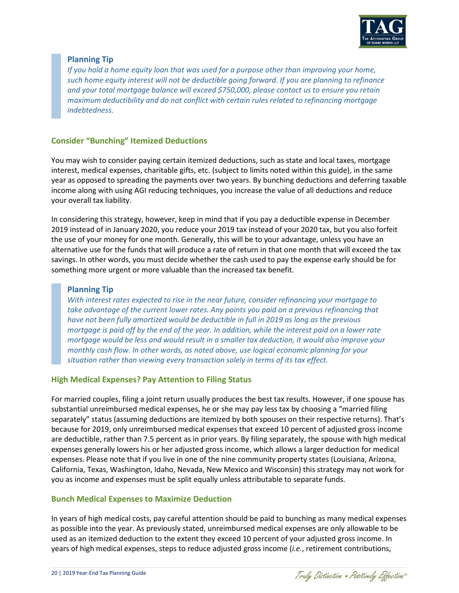

# **Planning Tip**

*If you hold a home equity loan that was used for a purpose other than improving your home, such home equity interest will not be deductible going forward. If you are planning to refinance and your total mortgage balance will exceed \$750,000, please contact us to ensure you retain maximum deductibility and do not conflict with certain rules related to refinancing mortgage indebtedness.*

## **Consider "Bunching" Itemized Deductions**

You may wish to consider paying certain itemized deductions, such as state and local taxes, mortgage interest, medical expenses, charitable gifts, etc. (subject to limits noted within this guide), in the same year as opposed to spreading the payments over two years. By bunching deductions and deferring taxable income along with using AGI reducing techniques, you increase the value of all deductions and reduce your overall tax liability.

In considering this strategy, however, keep in mind that if you pay a deductible expense in December 2019 instead of in January 2020, you reduce your 2019 tax instead of your 2020 tax, but you also forfeit the use of your money for one month. Generally, this will be to your advantage, unless you have an alternative use for the funds that will produce a rate of return in that one month that will exceed the tax savings. In other words, you must decide whether the cash used to pay the expense early should be for something more urgent or more valuable than the increased tax benefit.

# **Planning Tip**

*With interest rates expected to rise in the near future, consider refinancing your mortgage to take advantage of the current lower rates. Any points you paid on a previous refinancing that have not been fully amortized would be deductible in full in 2019 as long as the previous mortgage is paid off by the end of the year. In addition, while the interest paid on a lower rate mortgage would be less and would result in a smaller tax deduction, it would also improve your monthly cash flow. In other words, as noted above, use logical economic planning for your situation rather than viewing every transaction solely in terms of its tax effect.* 

### **High Medical Expenses? Pay Attention to Filing Status**

For married couples, filing a joint return usually produces the best tax results. However, if one spouse has substantial unreimbursed medical expenses, he or she may pay less tax by choosing a "married filing separately" status (assuming deductions are itemized by both spouses on their respective returns). That's because for 2019, only unreimbursed medical expenses that exceed 10 percent of adjusted gross income are deductible, rather than 7.5 percent as in prior years. By filing separately, the spouse with high medical expenses generally lowers his or her adjusted gross income, which allows a larger deduction for medical expenses. Please note that if you live in one of the nine community property states (Louisiana, Arizona, California, Texas, Washington, Idaho, Nevada, New Mexico and Wisconsin) this strategy may not work for you as income and expenses must be split equally unless attributable to separate funds.

### **Bunch Medical Expenses to Maximize Deduction**

In years of high medical costs, pay careful attention should be paid to bunching as many medical expenses as possible into the year. As previously stated, unreimbursed medical expenses are only allowable to be used as an itemized deduction to the extent they exceed 10 percent of your adjusted gross income. In years of high medical expenses, steps to reduce adjusted gross income (*i.e.*, retirement contributions,

Traly Distinctive . Positively Effective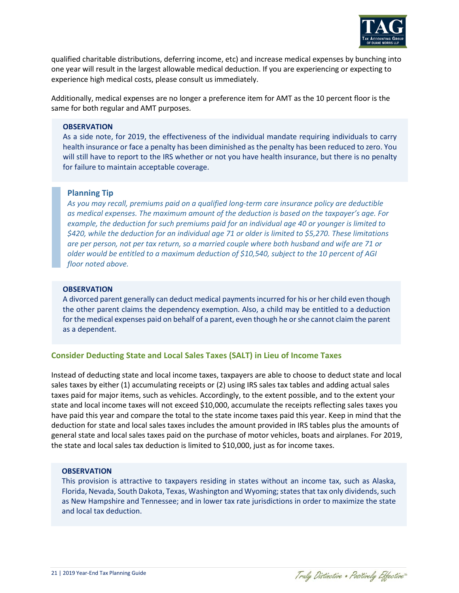

qualified charitable distributions, deferring income, etc) and increase medical expenses by bunching into one year will result in the largest allowable medical deduction. If you are experiencing or expecting to experience high medical costs, please consult us immediately.

Additionally, medical expenses are no longer a preference item for AMT as the 10 percent floor is the same for both regular and AMT purposes.

#### **OBSERVATION**

As a side note, for 2019, the effectiveness of the individual mandate requiring individuals to carry health insurance or face a penalty has been diminished as the penalty has been reduced to zero. You will still have to report to the IRS whether or not you have health insurance, but there is no penalty for failure to maintain acceptable coverage.

#### **Planning Tip**

*As you may recall, premiums paid on a qualified long-term care insurance policy are deductible as medical expenses. The maximum amount of the deduction is based on the taxpayer's age. For example, the deduction for such premiums paid for an individual age 40 or younger is limited to \$420, while the deduction for an individual age 71 or older is limited to \$5,270. These limitations are per person, not per tax return, so a married couple where both husband and wife are 71 or older would be entitled to a maximum deduction of \$10,540, subject to the 10 percent of AGI floor noted above.* 

#### **OBSERVATION**

A divorced parent generally can deduct medical payments incurred for his or her child even though the other parent claims the dependency exemption. Also, a child may be entitled to a deduction for the medical expenses paid on behalf of a parent, even though he or she cannot claim the parent as a dependent.

### **Consider Deducting State and Local Sales Taxes (SALT) in Lieu of Income Taxes**

Instead of deducting state and local income taxes, taxpayers are able to choose to deduct state and local sales taxes by either (1) accumulating receipts or (2) using IRS sales tax tables and adding actual sales taxes paid for major items, such as vehicles. Accordingly, to the extent possible, and to the extent your state and local income taxes will not exceed \$10,000, accumulate the receipts reflecting sales taxes you have paid this year and compare the total to the state income taxes paid this year. Keep in mind that the deduction for state and local sales taxes includes the amount provided in IRS tables plus the amounts of general state and local sales taxes paid on the purchase of motor vehicles, boats and airplanes. For 2019, the state and local sales tax deduction is limited to \$10,000, just as for income taxes.

#### **OBSERVATION**

This provision is attractive to taxpayers residing in states without an income tax, such as Alaska, Florida, Nevada, South Dakota, Texas, Washington and Wyoming; states that tax only dividends, such as New Hampshire and Tennessee; and in lower tax rate jurisdictions in order to maximize the state and local tax deduction.

Traly Distinctive . Positively Effective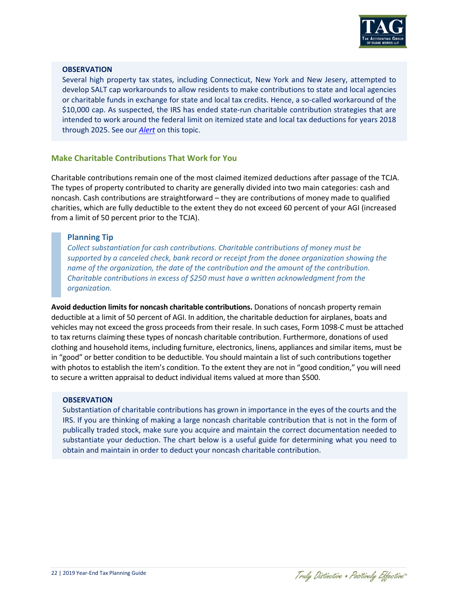

#### **OBSERVATION**

Several high property tax states, including Connecticut, New York and New Jesery, attempted to develop SALT cap workarounds to allow residents to make contributions to state and local agencies or charitable funds in exchange for state and local tax credits. Hence, a so-called workaround of the \$10,000 cap. As suspected, the IRS has ended state-run charitable contribution strategies that are intended to work around the federal limit on itemized state and local tax deductions for years 2018 through 2025. See our *[Alert](https://www.duanemorris.com/alerts/irs_issues_final_regulations_confirming_harsh_restriction_salt_workarounds_0819.html)* on this topic.

## **Make Charitable Contributions That Work for You**

Charitable contributions remain one of the most claimed itemized deductions after passage of the TCJA. The types of property contributed to charity are generally divided into two main categories: cash and noncash. Cash contributions are straightforward – they are contributions of money made to qualified charities, which are fully deductible to the extent they do not exceed 60 percent of your AGI (increased from a limit of 50 percent prior to the TCJA).

### **Planning Tip**

*Collect substantiation for cash contributions. Charitable contributions of money must be supported by a canceled check, bank record or receipt from the donee organization showing the name of the organization, the date of the contribution and the amount of the contribution. Charitable contributions in excess of \$250 must have a written acknowledgment from the organization.* 

**Avoid deduction limits for noncash charitable contributions.** Donations of noncash property remain deductible at a limit of 50 percent of AGI. In addition, the charitable deduction for airplanes, boats and vehicles may not exceed the gross proceeds from their resale. In such cases, Form 1098-C must be attached to tax returns claiming these types of noncash charitable contribution. Furthermore, donations of used clothing and household items, including furniture, electronics, linens, appliances and similar items, must be in "good" or better condition to be deductible. You should maintain a list of such contributions together with photos to establish the item's condition. To the extent they are not in "good condition," you will need to secure a written appraisal to deduct individual items valued at more than \$500.

#### **OBSERVATION**

Substantiation of charitable contributions has grown in importance in the eyes of the courts and the IRS. If you are thinking of making a large noncash charitable contribution that is not in the form of publically traded stock, make sure you acquire and maintain the correct documentation needed to substantiate your deduction. The chart below is a useful guide for determining what you need to obtain and maintain in order to deduct your noncash charitable contribution.

Traly Distinctive . Positively Effective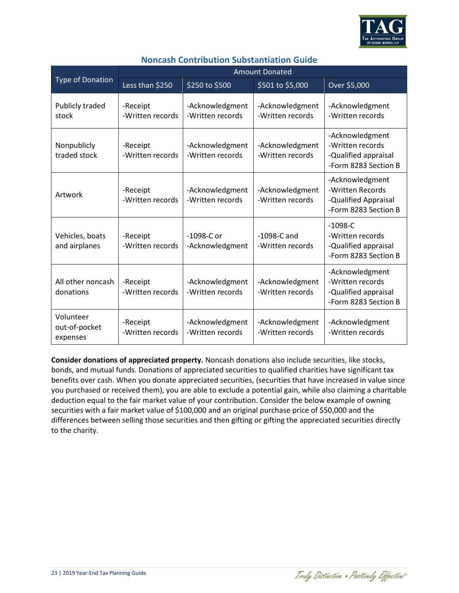

|                                        | <b>Amount Donated</b>        |                                     |                                     |                                                                                     |  |
|----------------------------------------|------------------------------|-------------------------------------|-------------------------------------|-------------------------------------------------------------------------------------|--|
| <b>Type of Donation</b>                | Less than \$250              | \$250 to \$500                      | \$501 to \$5,000                    | Over \$5,000                                                                        |  |
| Publicly traded<br>stock               | -Receipt<br>-Written records | -Acknowledgment<br>-Written records | -Acknowledgment<br>-Written records | -Acknowledgment<br>-Written records                                                 |  |
| Nonpublicly<br>traded stock            | -Receipt<br>-Written records | -Acknowledgment<br>-Written records | -Acknowledgment<br>-Written records | -Acknowledgment<br>-Written records<br>-Qualified appraisal<br>-Form 8283 Section B |  |
| Artwork                                | -Receipt<br>-Written records | -Acknowledgment<br>-Written records | -Acknowledgment<br>-Written records | -Acknowledgment<br>-Written Records<br>-Qualified Appraisal<br>-Form 8283 Section B |  |
| Vehicles, boats<br>and airplanes       | -Receipt<br>-Written records | $-1098-C$ or<br>-Acknowledgment     | $-1098-C$ and<br>-Written records   | $-1098-C$<br>-Written records<br>-Qualified appraisal<br>-Form 8283 Section B       |  |
| All other noncash<br>donations         | -Receipt<br>-Written records | -Acknowledgment<br>-Written records | -Acknowledgment<br>-Written records | -Acknowledgment<br>-Written records<br>-Qualified appraisal<br>-Form 8283 Section B |  |
| Volunteer<br>out-of-pocket<br>expenses | -Receipt<br>-Written records | -Acknowledgment<br>-Written records | -Acknowledgment<br>-Written records | -Acknowledgment<br>-Written records                                                 |  |

# **Noncash Contribution Substantiation Guide**

**Consider donations of appreciated property.** Noncash donations also include securities, like stocks, bonds, and mutual funds. Donations of appreciated securities to qualified charities have significant tax benefits over cash. When you donate appreciated securities, (securities that have increased in value since you purchased or received them), you are able to exclude a potential gain, while also claiming a charitable deduction equal to the fair market value of your contribution. Consider the below example of owning securities with a fair market value of \$100,000 and an original purchase price of \$50,000 and the differences between selling those securities and then gifting or gifting the appreciated securities directly to the charity.

Traly Distinctive . Positively Effective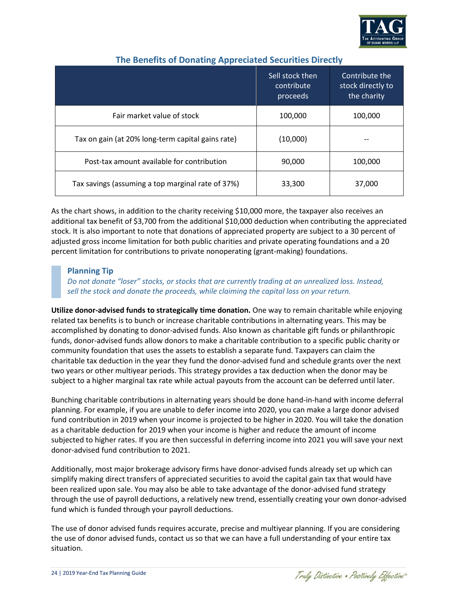

|                                                   | Sell stock then<br>contribute | Contribute the<br>stock directly to |
|---------------------------------------------------|-------------------------------|-------------------------------------|
|                                                   | proceeds                      | the charity                         |
| Fair market value of stock                        | 100,000                       | 100,000                             |
| Tax on gain (at 20% long-term capital gains rate) | (10,000)                      |                                     |
| Post-tax amount available for contribution        | 90,000                        | 100,000                             |
| Tax savings (assuming a top marginal rate of 37%) | 33,300                        | 37,000                              |

# **The Benefits of Donating Appreciated Securities Directly**

As the chart shows, in addition to the charity receiving \$10,000 more, the taxpayer also receives an additional tax benefit of \$3,700 from the additional \$10,000 deduction when contributing the appreciated stock. It is also important to note that donations of appreciated property are subject to a 30 percent of adjusted gross income limitation for both public charities and private operating foundations and a 20 percent limitation for contributions to private nonoperating (grant-making) foundations.

# **Planning Tip**

*Do not donate "loser" stocks, or stocks that are currently trading at an unrealized loss. Instead, sell the stock and donate the proceeds, while claiming the capital loss on your return.*

**Utilize donor-advised funds to strategically time donation.** One way to remain charitable while enjoying related tax benefits is to bunch or increase charitable contributions in alternating years. This may be accomplished by donating to donor-advised funds. Also known as charitable gift funds or philanthropic funds, donor-advised funds allow donors to make a charitable contribution to a specific public charity or community foundation that uses the assets to establish a separate fund. Taxpayers can claim the charitable tax deduction in the year they fund the donor-advised fund and schedule grants over the next two years or other multiyear periods. This strategy provides a tax deduction when the donor may be subject to a higher marginal tax rate while actual payouts from the account can be deferred until later.

Bunching charitable contributions in alternating years should be done hand-in-hand with income deferral planning. For example, if you are unable to defer income into 2020, you can make a large donor advised fund contribution in 2019 when your income is projected to be higher in 2020. You will take the donation as a charitable deduction for 2019 when your income is higher and reduce the amount of income subjected to higher rates. If you are then successful in deferring income into 2021 you will save your next donor-advised fund contribution to 2021.

Additionally, most major brokerage advisory firms have donor-advised funds already set up which can simplify making direct transfers of appreciated securities to avoid the capital gain tax that would have been realized upon sale. You may also be able to take advantage of the donor-advised fund strategy through the use of payroll deductions, a relatively new trend, essentially creating your own donor-advised fund which is funded through your payroll deductions.

The use of donor advised funds requires accurate, precise and multiyear planning. If you are considering the use of donor advised funds, contact us so that we can have a full understanding of your entire tax situation.

Traly Distinctive . Positively Effective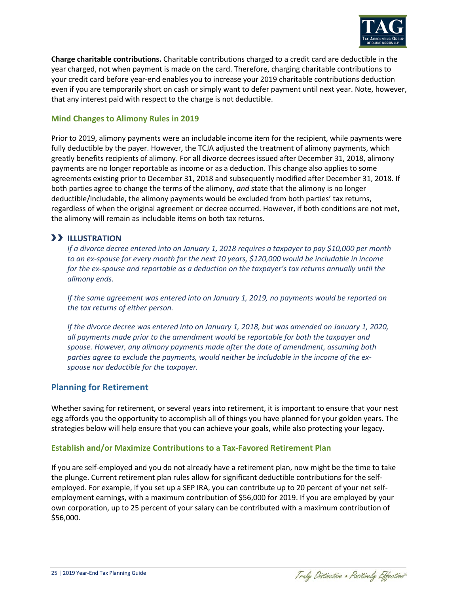

**Charge charitable contributions.** Charitable contributions charged to a credit card are deductible in the year charged, not when payment is made on the card. Therefore, charging charitable contributions to your credit card before year-end enables you to increase your 2019 charitable contributions deduction even if you are temporarily short on cash or simply want to defer payment until next year. Note, however, that any interest paid with respect to the charge is not deductible.

## **Mind Changes to Alimony Rules in 2019**

Prior to 2019, alimony payments were an includable income item for the recipient, while payments were fully deductible by the payer. However, the TCJA adjusted the treatment of alimony payments, which greatly benefits recipients of alimony. For all divorce decrees issued after December 31, 2018, alimony payments are no longer reportable as income or as a deduction. This change also applies to some agreements existing prior to December 31, 2018 and subsequently modified after December 31, 2018. If both parties agree to change the terms of the alimony, *and* state that the alimony is no longer deductible/includable, the alimony payments would be excluded from both parties' tax returns, regardless of when the original agreement or decree occurred. However, if both conditions are not met, the alimony will remain as includable items on both tax returns.

# **ILLUSTRATION**

*If a divorce decree entered into on January 1, 2018 requires a taxpayer to pay \$10,000 per month to an ex-spouse for every month for the next 10 years, \$120,000 would be includable in income for the ex-spouse and reportable as a deduction on the taxpayer's tax returns annually until the alimony ends.*

*If the same agreement was entered into on January 1, 2019, no payments would be reported on the tax returns of either person.* 

*If the divorce decree was entered into on January 1, 2018, but was amended on January 1, 2020, all payments made prior to the amendment would be reportable for both the taxpayer and spouse. However, any alimony payments made after the date of amendment, assuming both parties agree to exclude the payments, would neither be includable in the income of the exspouse nor deductible for the taxpayer.*

### **Planning for Retirement**

Whether saving for retirement, or several years into retirement, it is important to ensure that your nest egg affords you the opportunity to accomplish all of things you have planned for your golden years. The strategies below will help ensure that you can achieve your goals, while also protecting your legacy.

# **Establish and/or Maximize Contributions to a Tax-Favored Retirement Plan**

If you are self-employed and you do not already have a retirement plan, now might be the time to take the plunge. Current retirement plan rules allow for significant deductible contributions for the selfemployed. For example, if you set up a SEP IRA, you can contribute up to 20 percent of your net selfemployment earnings, with a maximum contribution of \$56,000 for 2019. If you are employed by your own corporation, up to 25 percent of your salary can be contributed with a maximum contribution of \$56,000.

Traly Distinctive . Positively Effective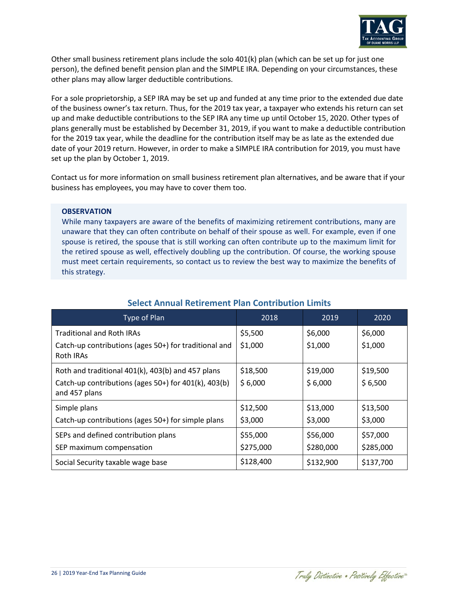

Other small business retirement plans include the solo 401(k) plan (which can be set up for just one person), the defined benefit pension plan and the SIMPLE IRA. Depending on your circumstances, these other plans may allow larger deductible contributions.

For a sole proprietorship, a SEP IRA may be set up and funded at any time prior to the extended due date of the business owner's tax return. Thus, for the 2019 tax year, a taxpayer who extends his return can set up and make deductible contributions to the SEP IRA any time up until October 15, 2020. Other types of plans generally must be established by December 31, 2019, if you want to make a deductible contribution for the 2019 tax year, while the deadline for the contribution itself may be as late as the extended due date of your 2019 return. However, in order to make a SIMPLE IRA contribution for 2019, you must have set up the plan by October 1, 2019.

Contact us for more information on small business retirement plan alternatives, and be aware that if your business has employees, you may have to cover them too.

#### **OBSERVATION**

While many taxpayers are aware of the benefits of maximizing retirement contributions, many are unaware that they can often contribute on behalf of their spouse as well. For example, even if one spouse is retired, the spouse that is still working can often contribute up to the maximum limit for the retired spouse as well, effectively doubling up the contribution. Of course, the working spouse must meet certain requirements, so contact us to review the best way to maximize the benefits of this strategy.

| Type of Plan                                                          | 2018      | 2019      | 2020      |
|-----------------------------------------------------------------------|-----------|-----------|-----------|
| <b>Traditional and Roth IRAs</b>                                      | \$5,500   | \$6,000   | \$6,000   |
| Catch-up contributions (ages 50+) for traditional and<br>Roth IRAs    | \$1,000   | \$1,000   | \$1,000   |
| Roth and traditional 401(k), 403(b) and 457 plans                     | \$18,500  | \$19,000  | \$19,500  |
| Catch-up contributions (ages 50+) for 401(k), 403(b)<br>and 457 plans | \$6,000   | \$6,000   | \$6,500   |
| Simple plans                                                          | \$12,500  | \$13,000  | \$13,500  |
| Catch-up contributions (ages 50+) for simple plans                    | \$3,000   | \$3,000   | \$3,000   |
| SEPs and defined contribution plans                                   | \$55,000  | \$56,000  | \$57,000  |
| SEP maximum compensation                                              | \$275,000 | \$280,000 | \$285,000 |
| Social Security taxable wage base                                     | \$128,400 | \$132,900 | \$137,700 |

# **Select Annual Retirement Plan Contribution Limits**

Traly Distinctive . Positively Effective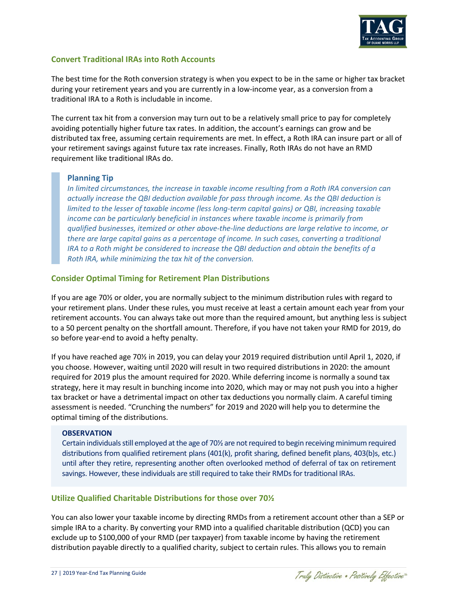

## **Convert Traditional IRAs into Roth Accounts**

The best time for the Roth conversion strategy is when you expect to be in the same or higher tax bracket during your retirement years and you are currently in a low-income year, as a conversion from a traditional IRA to a Roth is includable in income.

The current tax hit from a conversion may turn out to be a relatively small price to pay for completely avoiding potentially higher future tax rates. In addition, the account's earnings can grow and be distributed tax free, assuming certain requirements are met. In effect, a Roth IRA can insure part or all of your retirement savings against future tax rate increases. Finally, Roth IRAs do not have an RMD requirement like traditional IRAs do.

# **Planning Tip**

*In limited circumstances, the increase in taxable income resulting from a Roth IRA conversion can actually increase the QBI deduction available for pass through income. As the QBI deduction is limited to the lesser of taxable income (less long-term capital gains) or QBI, increasing taxable income can be particularly beneficial in instances where taxable income is primarily from qualified businesses, itemized or other above-the-line deductions are large relative to income, or there are large capital gains as a percentage of income. In such cases, converting a traditional IRA to a Roth might be considered to increase the QBI deduction and obtain the benefits of a Roth IRA, while minimizing the tax hit of the conversion.*

## **Consider Optimal Timing for Retirement Plan Distributions**

If you are age 70½ or older, you are normally subject to the minimum distribution rules with regard to your retirement plans. Under these rules, you must receive at least a certain amount each year from your retirement accounts. You can always take out more than the required amount, but anything less is subject to a 50 percent penalty on the shortfall amount. Therefore, if you have not taken your RMD for 2019, do so before year-end to avoid a hefty penalty.

If you have reached age 70½ in 2019, you can delay your 2019 required distribution until April 1, 2020, if you choose. However, waiting until 2020 will result in two required distributions in 2020: the amount required for 2019 plus the amount required for 2020. While deferring income is normally a sound tax strategy, here it may result in bunching income into 2020, which may or may not push you into a higher tax bracket or have a detrimental impact on other tax deductions you normally claim. A careful timing assessment is needed. "Crunching the numbers" for 2019 and 2020 will help you to determine the optimal timing of the distributions.

### **OBSERVATION**

Certain individuals still employed at the age of 70½ are not required to begin receiving minimum required distributions from qualified retirement plans (401(k), profit sharing, defined benefit plans, 403(b)s, etc.) until after they retire, representing another often overlooked method of deferral of tax on retirement savings. However, these individuals are still required to take their RMDs for traditional IRAs.

### **Utilize Qualified Charitable Distributions for those over 70½**

You can also lower your taxable income by directing RMDs from a retirement account other than a SEP or simple IRA to a charity. By converting your RMD into a qualified charitable distribution (QCD) you can exclude up to \$100,000 of your RMD (per taxpayer) from taxable income by having the retirement distribution payable directly to a qualified charity, subject to certain rules. This allows you to remain

Traly Distinctive . Positively Effective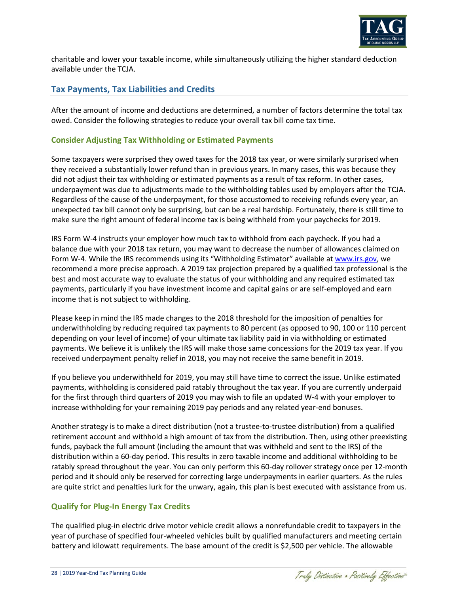

charitable and lower your taxable income, while simultaneously utilizing the higher standard deduction available under the TCJA.

# **Tax Payments, Tax Liabilities and Credits**

After the amount of income and deductions are determined, a number of factors determine the total tax owed. Consider the following strategies to reduce your overall tax bill come tax time.

# **Consider Adjusting Tax Withholding or Estimated Payments**

Some taxpayers were surprised they owed taxes for the 2018 tax year, or were similarly surprised when they received a substantially lower refund than in previous years. In many cases, this was because they did not adjust their tax withholding or estimated payments as a result of tax reform. In other cases, underpayment was due to adjustments made to the withholding tables used by employers after the TCJA. Regardless of the cause of the underpayment, for those accustomed to receiving refunds every year, an unexpected tax bill cannot only be surprising, but can be a real hardship. Fortunately, there is still time to make sure the right amount of federal income tax is being withheld from your paychecks for 2019.

IRS Form W-4 instructs your employer how much tax to withhold from each paycheck. If you had a balance due with your 2018 tax return, you may want to decrease the number of allowances claimed on Form W-4. While the IRS recommends using its "Withholding Estimator" available at [www.irs.gov,](http://www.irs.gov/) we recommend a more precise approach. A 2019 tax projection prepared by a qualified tax professional is the best and most accurate way to evaluate the status of your withholding and any required estimated tax payments, particularly if you have investment income and capital gains or are self-employed and earn income that is not subject to withholding.

Please keep in mind the IRS made changes to the 2018 threshold for the imposition of penalties for underwithholding by reducing required tax payments to 80 percent (as opposed to 90, 100 or 110 percent depending on your level of income) of your ultimate tax liability paid in via withholding or estimated payments. We believe it is unlikely the IRS will make those same concessions for the 2019 tax year. If you received underpayment penalty relief in 2018, you may not receive the same benefit in 2019.

If you believe you underwithheld for 2019, you may still have time to correct the issue. Unlike estimated payments, withholding is considered paid ratably throughout the tax year. If you are currently underpaid for the first through third quarters of 2019 you may wish to file an updated W-4 with your employer to increase withholding for your remaining 2019 pay periods and any related year-end bonuses.

Another strategy is to make a direct distribution (not a trustee-to-trustee distribution) from a qualified retirement account and withhold a high amount of tax from the distribution. Then, using other preexisting funds, payback the full amount (including the amount that was withheld and sent to the IRS) of the distribution within a 60-day period. This results in zero taxable income and additional withholding to be ratably spread throughout the year. You can only perform this 60-day rollover strategy once per 12-month period and it should only be reserved for correcting large underpayments in earlier quarters. As the rules are quite strict and penalties lurk for the unwary, again, this plan is best executed with assistance from us.

# **Qualify for Plug-In Energy Tax Credits**

The qualified plug-in electric drive motor vehicle credit allows a nonrefundable credit to taxpayers in the year of purchase of specified four-wheeled vehicles built by qualified manufacturers and meeting certain battery and kilowatt requirements. The base amount of the credit is \$2,500 per vehicle. The allowable

Traly Distinctive . Positively Effective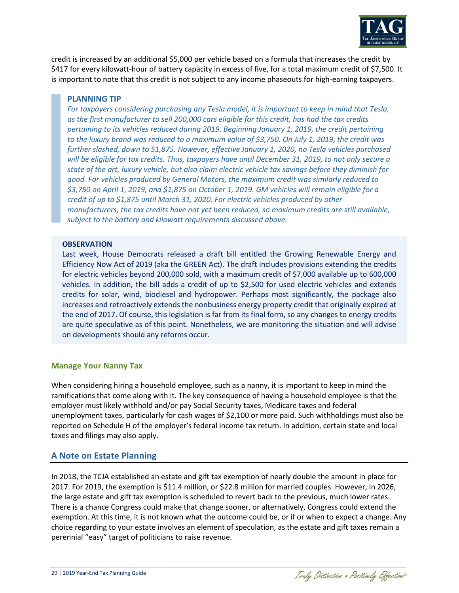

credit is increased by an additional \$5,000 per vehicle based on a formula that increases the credit by \$417 for every kilowatt-hour of battery capacity in excess of five, for a total maximum credit of \$7,500. It is important to note that this credit is not subject to any income phaseouts for high-earning taxpayers.

#### **PLANNING TIP**

*For taxpayers considering purchasing any Tesla model, it is important to keep in mind that Tesla, as the first manufacturer to sell 200,000 cars eligible for this credit, has had the tax credits pertaining to its vehicles reduced during 2019. Beginning January 1, 2019, the credit pertaining to the luxury brand was reduced to a maximum value of \$3,750. On July 1, 2019, the credit was further slashed, down to \$1,875. However, effective January 1, 2020, no Tesla vehicles purchased will be eligible for tax credits. Thus, taxpayers have until December 31, 2019, to not only secure a state of the art, luxury vehicle, but also claim electric vehicle tax savings before they diminish for good. For vehicles produced by General Motors, the maximum credit was similarly reduced to \$3,750 on April 1, 2019, and \$1,875 on October 1, 2019. GM vehicles will remain eligible for a credit of up to \$1,875 until March 31, 2020. For electric vehicles produced by other manufacturers, the tax credits have not yet been reduced, so maximum credits are still available, subject to the battery and kilowatt requirements discussed above.*

#### **OBSERVATION**

Last week, House Democrats released a draft bill entitled the Growing Renewable Energy and Efficiency Now Act of 2019 (aka the GREEN Act). The draft includes provisions extending the credits for electric vehicles beyond 200,000 sold, with a maximum credit of \$7,000 available up to 600,000 vehicles. In addition, the bill adds a credit of up to \$2,500 for used electric vehicles and extends credits for solar, wind, biodiesel and hydropower. Perhaps most significantly, the package also increases and retroactively extends the nonbusiness energy property credit that originally expired at the end of 2017. Of course, this legislation is far from its final form, so any changes to energy credits are quite speculative as of this point. Nonetheless, we are monitoring the situation and will advise on developments should any reforms occur.

### **Manage Your Nanny Tax**

When considering hiring a household employee, such as a nanny, it is important to keep in mind the ramifications that come along with it. The key consequence of having a household employee is that the employer must likely withhold and/or pay Social Security taxes, Medicare taxes and federal unemployment taxes, particularly for cash wages of \$2,100 or more paid. Such withholdings must also be reported on Schedule H of the employer's federal income tax return. In addition, certain state and local taxes and filings may also apply.

### **A Note on Estate Planning**

In 2018, the TCJA established an estate and gift tax exemption of nearly double the amount in place for 2017. For 2019, the exemption is \$11.4 million, or \$22.8 million for married couples. However, in 2026, the large estate and gift tax exemption is scheduled to revert back to the previous, much lower rates. There is a chance Congress could make that change sooner, or alternatively, Congress could extend the exemption. At this time, it is not known what the outcome could be, or if or when to expect a change. Any choice regarding to your estate involves an element of speculation, as the estate and gift taxes remain a perennial "easy" target of politicians to raise revenue.

Traly Distinctive . Positively Effective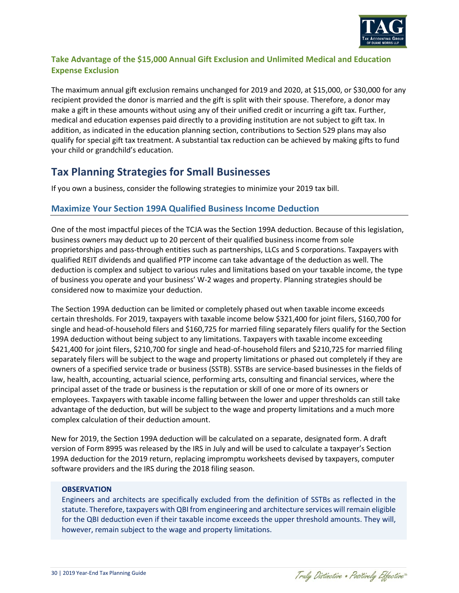

# **Take Advantage of the \$15,000 Annual Gift Exclusion and Unlimited Medical and Education Expense Exclusion**

The maximum annual gift exclusion remains unchanged for 2019 and 2020, at \$15,000, or \$30,000 for any recipient provided the donor is married and the gift is split with their spouse. Therefore, a donor may make a gift in these amounts without using any of their unified credit or incurring a gift tax. Further, medical and education expenses paid directly to a providing institution are not subject to gift tax. In addition, as indicated in the education planning section, contributions to Section 529 plans may also qualify for special gift tax treatment. A substantial tax reduction can be achieved by making gifts to fund your child or grandchild's education.

# **Tax Planning Strategies for Small Businesses**

If you own a business, consider the following strategies to minimize your 2019 tax bill.

# **Maximize Your Section 199A Qualified Business Income Deduction**

One of the most impactful pieces of the TCJA was the Section 199A deduction. Because of this legislation, business owners may deduct up to 20 percent of their qualified business income from sole proprietorships and pass-through entities such as partnerships, LLCs and S corporations. Taxpayers with qualified REIT dividends and qualified PTP income can take advantage of the deduction as well. The deduction is complex and subject to various rules and limitations based on your taxable income, the type of business you operate and your business' W-2 wages and property. Planning strategies should be considered now to maximize your deduction.

The Section 199A deduction can be limited or completely phased out when taxable income exceeds certain thresholds. For 2019, taxpayers with taxable income below \$321,400 for joint filers, \$160,700 for single and head-of-household filers and \$160,725 for married filing separately filers qualify for the Section 199A deduction without being subject to any limitations. Taxpayers with taxable income exceeding \$421,400 for joint filers, \$210,700 for single and head-of-household filers and \$210,725 for married filing separately filers will be subject to the wage and property limitations or phased out completely if they are owners of a specified service trade or business (SSTB). SSTBs are service-based businesses in the fields of law, health, accounting, actuarial science, performing arts, consulting and financial services, where the principal asset of the trade or business is the reputation or skill of one or more of its owners or employees. Taxpayers with taxable income falling between the lower and upper thresholds can still take advantage of the deduction, but will be subject to the wage and property limitations and a much more complex calculation of their deduction amount.

New for 2019, the Section 199A deduction will be calculated on a separate, designated form. A draft version of Form 8995 was released by the IRS in July and will be used to calculate a taxpayer's Section 199A deduction for the 2019 return, replacing impromptu worksheets devised by taxpayers, computer software providers and the IRS during the 2018 filing season.

### **OBSERVATION**

Engineers and architects are specifically excluded from the definition of SSTBs as reflected in the statute. Therefore, taxpayers with QBI from engineering and architecture services will remain eligible for the QBI deduction even if their taxable income exceeds the upper threshold amounts. They will, however, remain subject to the wage and property limitations.

Traly Distinctive . Positively Effective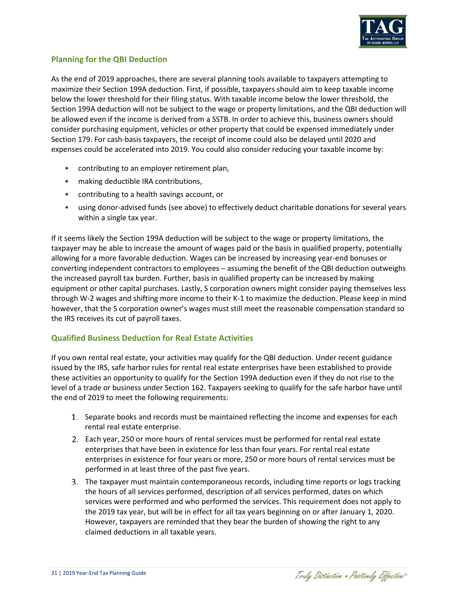

# **Planning for the QBI Deduction**

As the end of 2019 approaches, there are several planning tools available to taxpayers attempting to maximize their Section 199A deduction. First, if possible, taxpayers should aim to keep taxable income below the lower threshold for their filing status. With taxable income below the lower threshold, the Section 199A deduction will not be subject to the wage or property limitations, and the QBI deduction will be allowed even if the income is derived from a SSTB. In order to achieve this, business owners should consider purchasing equipment, vehicles or other property that could be expensed immediately under Section 179. For cash-basis taxpayers, the receipt of income could also be delayed until 2020 and expenses could be accelerated into 2019. You could also consider reducing your taxable income by:

- contributing to an employer retirement plan,
- making deductible IRA contributions,
- contributing to a health savings account, or
- using donor-advised funds (see above) to effectively deduct charitable donations for several years within a single tax year.

If it seems likely the Section 199A deduction will be subject to the wage or property limitations, the taxpayer may be able to increase the amount of wages paid or the basis in qualified property, potentially allowing for a more favorable deduction. Wages can be increased by increasing year-end bonuses or converting independent contractors to employees — assuming the benefit of the QBI deduction outweighs the increased payroll tax burden. Further, basis in qualified property can be increased by making equipment or other capital purchases. Lastly, S corporation owners might consider paying themselves less through W-2 wages and shifting more income to their K-1 to maximize the deduction. Please keep in mind however, that the S corporation owner's wages must still meet the reasonable compensation standard so the IRS receives its cut of payroll taxes.

# **Qualified Business Deduction for Real Estate Activities**

If you own rental real estate, your activities may qualify for the QBI deduction. Under recent guidance issued by the IRS, safe harbor rules for rental real estate enterprises have been established to provide these activities an opportunity to qualify for the Section 199A deduction even if they do not rise to the level of a trade or business under Section 162. Taxpayers seeking to qualify for the safe harbor have until the end of 2019 to meet the following requirements:

- 1. Separate books and records must be maintained reflecting the income and expenses for each rental real estate enterprise.
- Each year, 250 or more hours of rental services must be performed for rental real estate enterprises that have been in existence for less than four years. For rental real estate enterprises in existence for four years or more, 250 or more hours of rental services must be performed in at least three of the past five years.
- The taxpayer must maintain contemporaneous records, including time reports or logs tracking the hours of all services performed, description of all services performed, dates on which services were performed and who performed the services. This requirement does not apply to the 2019 tax year, but will be in effect for all tax years beginning on or after January 1, 2020. However, taxpayers are reminded that they bear the burden of showing the right to any claimed deductions in all taxable years.

Traly Distinctive . Positively Effective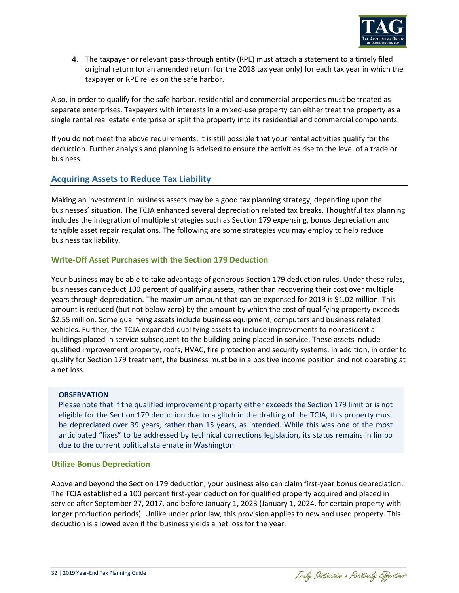

The taxpayer or relevant pass-through entity (RPE) must attach a statement to a timely filed original return (or an amended return for the 2018 tax year only) for each tax year in which the taxpayer or RPE relies on the safe harbor.

Also, in order to qualify for the safe harbor, residential and commercial properties must be treated as separate enterprises. Taxpayers with interests in a mixed-use property can either treat the property as a single rental real estate enterprise or split the property into its residential and commercial components.

If you do not meet the above requirements, it is still possible that your rental activities qualify for the deduction. Further analysis and planning is advised to ensure the activities rise to the level of a trade or business.

# **Acquiring Assets to Reduce Tax Liability**

Making an investment in business assets may be a good tax planning strategy, depending upon the businesses' situation. The TCJA enhanced several depreciation related tax breaks. Thoughtful tax planning includes the integration of multiple strategies such as Section 179 expensing, bonus depreciation and tangible asset repair regulations. The following are some strategies you may employ to help reduce business tax liability.

# **Write-Off Asset Purchases with the Section 179 Deduction**

Your business may be able to take advantage of generous Section 179 deduction rules. Under these rules, businesses can deduct 100 percent of qualifying assets, rather than recovering their cost over multiple years through depreciation. The maximum amount that can be expensed for 2019 is \$1.02 million. This amount is reduced (but not below zero) by the amount by which the cost of qualifying property exceeds \$2.55 million. Some qualifying assets include business equipment, computers and business related vehicles. Further, the TCJA expanded qualifying assets to include improvements to nonresidential buildings placed in service subsequent to the building being placed in service. These assets include qualified improvement property, roofs, HVAC, fire protection and security systems. In addition, in order to qualify for Section 179 treatment, the business must be in a positive income position and not operating at a net loss.

# **OBSERVATION**

Please note that if the qualified improvement property either exceeds the Section 179 limit or is not eligible for the Section 179 deduction due to a glitch in the drafting of the TCJA, this property must be depreciated over 39 years, rather than 15 years, as intended. While this was one of the most anticipated "fixes" to be addressed by technical corrections legislation, its status remains in limbo due to the current political stalemate in Washington.

# **Utilize Bonus Depreciation**

Above and beyond the Section 179 deduction, your business also can claim first-year bonus depreciation. The TCJA established a 100 percent first-year deduction for qualified property acquired and placed in service after September 27, 2017, and before January 1, 2023 (January 1, 2024, for certain property with longer production periods). Unlike under prior law, this provision applies to new and used property. This deduction is allowed even if the business yields a net loss for the year.

Traly Distinctive . Positively Effective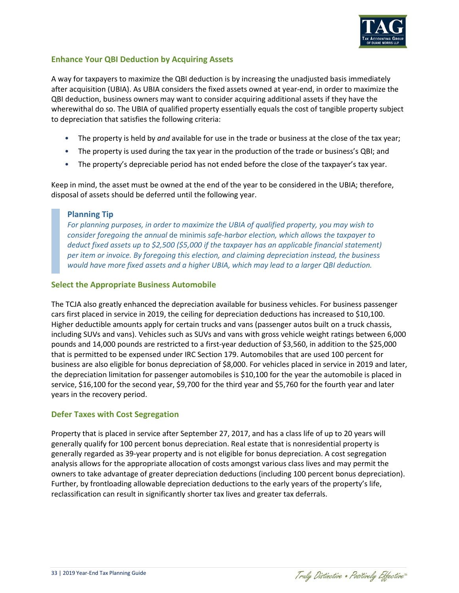

# **Enhance Your QBI Deduction by Acquiring Assets**

A way for taxpayers to maximize the QBI deduction is by increasing the unadjusted basis immediately after acquisition (UBIA). As UBIA considers the fixed assets owned at year-end, in order to maximize the QBI deduction, business owners may want to consider acquiring additional assets if they have the wherewithal do so. The UBIA of qualified property essentially equals the cost of tangible property subject to depreciation that satisfies the following criteria:

- The property is held by *and* available for use in the trade or business at the close of the tax year;
- The property is used during the tax year in the production of the trade or business's QBI; and
- The property's depreciable period has not ended before the close of the taxpayer's tax year.

Keep in mind, the asset must be owned at the end of the year to be considered in the UBIA; therefore, disposal of assets should be deferred until the following year.

# **Planning Tip**

*For planning purposes, in order to maximize the UBIA of qualified property, you may wish to consider foregoing the annual* de minimis *safe-harbor election, which allows the taxpayer to deduct fixed assets up to \$2,500 (\$5,000 if the taxpayer has an applicable financial statement) per item or invoice. By foregoing this election, and claiming depreciation instead, the business would have more fixed assets and a higher UBIA, which may lead to a larger QBI deduction.*

## **Select the Appropriate Business Automobile**

The TCJA also greatly enhanced the depreciation available for business vehicles. For business passenger cars first placed in service in 2019, the ceiling for depreciation deductions has increased to \$10,100. Higher deductible amounts apply for certain trucks and vans (passenger autos built on a truck chassis, including SUVs and vans). Vehicles such as SUVs and vans with gross vehicle weight ratings between 6,000 pounds and 14,000 pounds are restricted to a first-year deduction of \$3,560, in addition to the \$25,000 that is permitted to be expensed under IRC Section 179. Automobiles that are used 100 percent for business are also eligible for bonus depreciation of \$8,000. For vehicles placed in service in 2019 and later, the depreciation limitation for passenger automobiles is \$10,100 for the year the automobile is placed in service, \$16,100 for the second year, \$9,700 for the third year and \$5,760 for the fourth year and later years in the recovery period.

# **Defer Taxes with Cost Segregation**

Property that is placed in service after September 27, 2017, and has a class life of up to 20 years will generally qualify for 100 percent bonus depreciation. Real estate that is nonresidential property is generally regarded as 39-year property and is not eligible for bonus depreciation. A cost segregation analysis allows for the appropriate allocation of costs amongst various class lives and may permit the owners to take advantage of greater depreciation deductions (including 100 percent bonus depreciation). Further, by frontloading allowable depreciation deductions to the early years of the property's life, reclassification can result in significantly shorter tax lives and greater tax deferrals.

Traly Distinctive . Positively Effective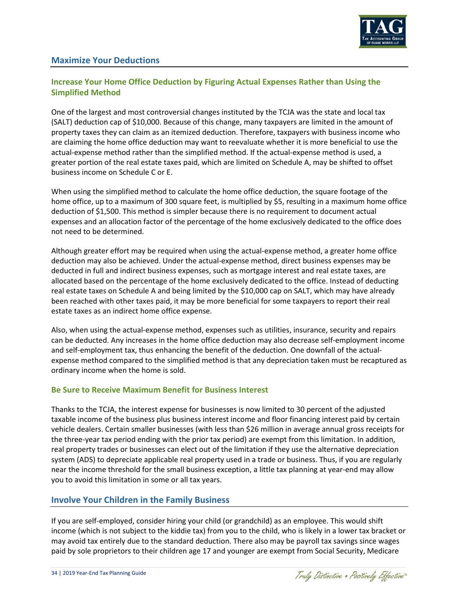

# **Maximize Your Deductions**

# **Increase Your Home Office Deduction by Figuring Actual Expenses Rather than Using the Simplified Method**

One of the largest and most controversial changes instituted by the TCJA was the state and local tax (SALT) deduction cap of \$10,000. Because of this change, many taxpayers are limited in the amount of property taxes they can claim as an itemized deduction. Therefore, taxpayers with business income who are claiming the home office deduction may want to reevaluate whether it is more beneficial to use the actual-expense method rather than the simplified method. If the actual-expense method is used, a greater portion of the real estate taxes paid, which are limited on Schedule A, may be shifted to offset business income on Schedule C or E.

When using the simplified method to calculate the home office deduction, the square footage of the home office, up to a maximum of 300 square feet, is multiplied by \$5, resulting in a maximum home office deduction of \$1,500. This method is simpler because there is no requirement to document actual expenses and an allocation factor of the percentage of the home exclusively dedicated to the office does not need to be determined.

Although greater effort may be required when using the actual-expense method, a greater home office deduction may also be achieved. Under the actual-expense method, direct business expenses may be deducted in full and indirect business expenses, such as mortgage interest and real estate taxes, are allocated based on the percentage of the home exclusively dedicated to the office. Instead of deducting real estate taxes on Schedule A and being limited by the \$10,000 cap on SALT, which may have already been reached with other taxes paid, it may be more beneficial for some taxpayers to report their real estate taxes as an indirect home office expense.

Also, when using the actual-expense method, expenses such as utilities, insurance, security and repairs can be deducted. Any increases in the home office deduction may also decrease self-employment income and self-employment tax, thus enhancing the benefit of the deduction. One downfall of the actualexpense method compared to the simplified method is that any depreciation taken must be recaptured as ordinary income when the home is sold.

# **Be Sure to Receive Maximum Benefit for Business Interest**

Thanks to the TCJA, the interest expense for businesses is now limited to 30 percent of the adjusted taxable income of the business plus business interest income and floor financing interest paid by certain vehicle dealers. Certain smaller businesses (with less than \$26 million in average annual gross receipts for the three-year tax period ending with the prior tax period) are exempt from this limitation. In addition, real property trades or businesses can elect out of the limitation if they use the alternative depreciation system (ADS) to depreciate applicable real property used in a trade or business. Thus, if you are regularly near the income threshold for the small business exception, a little tax planning at year-end may allow you to avoid this limitation in some or all tax years.

# **Involve Your Children in the Family Business**

If you are self-employed, consider hiring your child (or grandchild) as an employee. This would shift income (which is not subject to the kiddie tax) from you to the child, who is likely in a lower tax bracket or may avoid tax entirely due to the standard deduction. There also may be payroll tax savings since wages paid by sole proprietors to their children age 17 and younger are exempt from Social Security, Medicare

Traly Distinctive . Positively Effective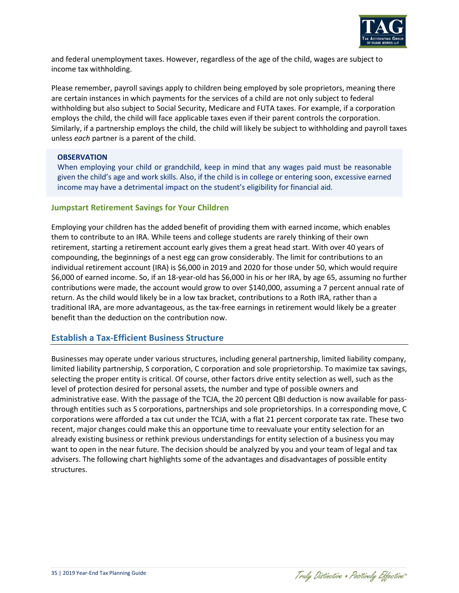

and federal unemployment taxes. However, regardless of the age of the child, wages are subject to income tax withholding.

Please remember, payroll savings apply to children being employed by sole proprietors, meaning there are certain instances in which payments for the services of a child are not only subject to federal withholding but also subject to Social Security, Medicare and FUTA taxes. For example, if a corporation employs the child, the child will face applicable taxes even if their parent controls the corporation. Similarly, if a partnership employs the child, the child will likely be subject to withholding and payroll taxes unless *each* partner is a parent of the child.

### **OBSERVATION**

When employing your child or grandchild, keep in mind that any wages paid must be reasonable given the child's age and work skills. Also, if the child is in college or entering soon, excessive earned income may have a detrimental impact on the student's eligibility for financial aid.

### **Jumpstart Retirement Savings for Your Children**

Employing your children has the added benefit of providing them with earned income, which enables them to contribute to an IRA. While teens and college students are rarely thinking of their own retirement, starting a retirement account early gives them a great head start. With over 40 years of compounding, the beginnings of a nest egg can grow considerably. The limit for contributions to an individual retirement account (IRA) is \$6,000 in 2019 and 2020 for those under 50, which would require \$6,000 of earned income. So, if an 18-year-old has \$6,000 in his or her IRA, by age 65, assuming no further contributions were made, the account would grow to over \$140,000, assuming a 7 percent annual rate of return. As the child would likely be in a low tax bracket, contributions to a Roth IRA, rather than a traditional IRA, are more advantageous, as the tax-free earnings in retirement would likely be a greater benefit than the deduction on the contribution now.

# **Establish a Tax-Efficient Business Structure**

Businesses may operate under various structures, including general partnership, limited liability company, limited liability partnership, S corporation, C corporation and sole proprietorship. To maximize tax savings, selecting the proper entity is critical. Of course, other factors drive entity selection as well, such as the level of protection desired for personal assets, the number and type of possible owners and administrative ease. With the passage of the TCJA, the 20 percent QBI deduction is now available for passthrough entities such as S corporations, partnerships and sole proprietorships. In a corresponding move, C corporations were afforded a tax cut under the TCJA, with a flat 21 percent corporate tax rate. These two recent, major changes could make this an opportune time to reevaluate your entity selection for an already existing business or rethink previous understandings for entity selection of a business you may want to open in the near future. The decision should be analyzed by you and your team of legal and tax advisers. The following chart highlights some of the advantages and disadvantages of possible entity structures.

Traly Distinctive . Positively Effective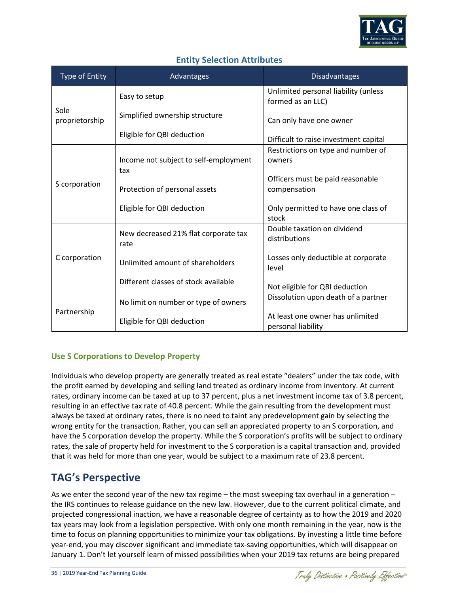

# **Entity Selection Attributes**

| <b>Type of Entity</b>  | Advantages                                   | <b>Disadvantages</b>                                      |
|------------------------|----------------------------------------------|-----------------------------------------------------------|
| Sole<br>proprietorship | Easy to setup                                | Unlimited personal liability (unless<br>formed as an LLC) |
|                        | Simplified ownership structure               | Can only have one owner                                   |
|                        | Eligible for QBI deduction                   | Difficult to raise investment capital                     |
| S corporation          | Income not subject to self-employment<br>tax | Restrictions on type and number of<br>owners              |
|                        | Protection of personal assets                | Officers must be paid reasonable<br>compensation          |
|                        | Eligible for QBI deduction                   | Only permitted to have one class of<br>stock              |
| C corporation          | New decreased 21% flat corporate tax<br>rate | Double taxation on dividend<br>distributions              |
|                        | Unlimited amount of shareholders             | Losses only deductible at corporate<br>level              |
|                        | Different classes of stock available         | Not eligible for QBI deduction                            |
| Partnership            | No limit on number or type of owners         | Dissolution upon death of a partner                       |
|                        | Eligible for QBI deduction                   | At least one owner has unlimited<br>personal liability    |

# **Use S Corporations to Develop Property**

Individuals who develop property are generally treated as real estate "dealers" under the tax code, with the profit earned by developing and selling land treated as ordinary income from inventory. At current rates, ordinary income can be taxed at up to 37 percent, plus a net investment income tax of 3.8 percent, resulting in an effective tax rate of 40.8 percent. While the gain resulting from the development must always be taxed at ordinary rates, there is no need to taint any predevelopment gain by selecting the wrong entity for the transaction. Rather, you can sell an appreciated property to an S corporation, and have the S corporation develop the property. While the S corporation's profits will be subject to ordinary rates, the sale of property held for investment to the S corporation is a capital transaction and, provided that it was held for more than one year, would be subject to a maximum rate of 23.8 percent.

# **TAG's Perspective**

As we enter the second year of the new tax regime – the most sweeping tax overhaul in a generation – the IRS continues to release guidance on the new law. However, due to the current political climate, and projected congressional inaction, we have a reasonable degree of certainty as to how the 2019 and 2020 tax years may look from a legislation perspective. With only one month remaining in the year, now is the time to focus on planning opportunities to minimize your tax obligations. By investing a little time before year-end, you may discover significant and immediate tax-saving opportunities, which will disappear on January 1. Don't let yourself learn of missed possibilities when your 2019 tax returns are being prepared

Traly Distinctive . Positively Effective